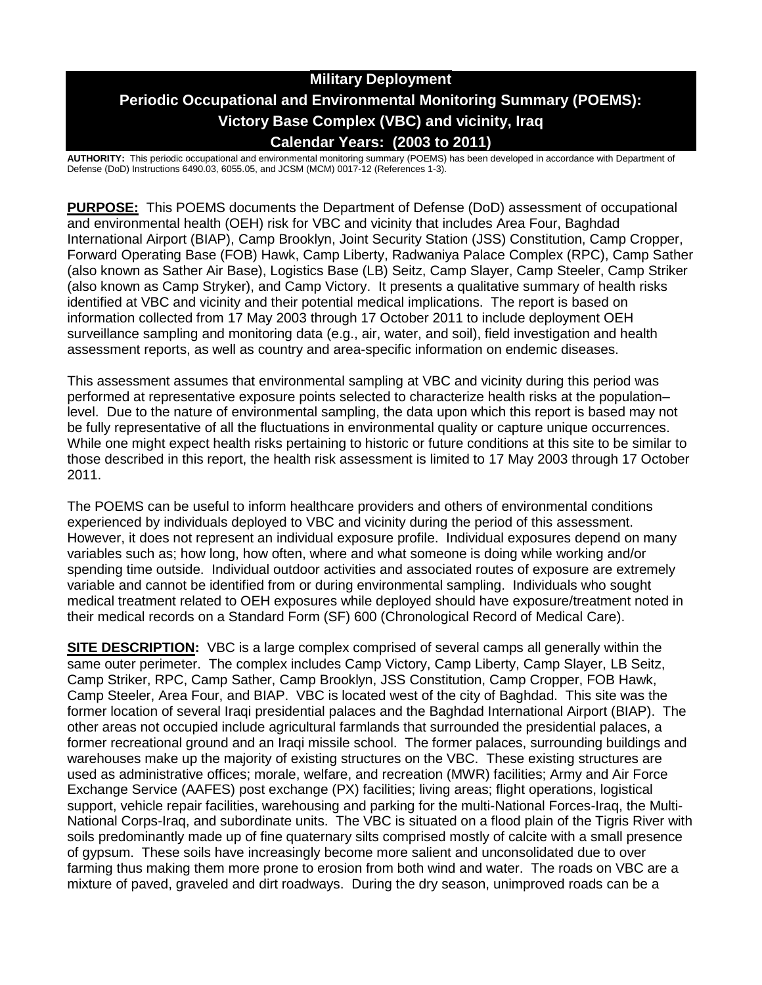# **Military Deployment Periodic Occupational and Environmental Monitoring Summary (POEMS): Victory Base Complex (VBC) and vicinity, Iraq Calendar Years: (2003 to 2011)**

**AUTHORITY:** This periodic occupational and environmental monitoring summary (POEMS) has been developed in accordance with Department of Defense (DoD) Instructions 6490.03, 6055.05, and JCSM (MCM) 0017-12 (References 1-3).

**PURPOSE:** This POEMS documents the Department of Defense (DoD) assessment of occupational and environmental health (OEH) risk for VBC and vicinity that includes Area Four, Baghdad International Airport (BIAP), Camp Brooklyn, Joint Security Station (JSS) Constitution, Camp Cropper, Forward Operating Base (FOB) Hawk, Camp Liberty, Radwaniya Palace Complex (RPC), Camp Sather (also known as Sather Air Base), Logistics Base (LB) Seitz, Camp Slayer, Camp Steeler, Camp Striker (also known as Camp Stryker), and Camp Victory. It presents a qualitative summary of health risks identified at VBC and vicinity and their potential medical implications. The report is based on information collected from 17 May 2003 through 17 October 2011 to include deployment OEH surveillance sampling and monitoring data (e.g., air, water, and soil), field investigation and health assessment reports, as well as country and area-specific information on endemic diseases.

This assessment assumes that environmental sampling at VBC and vicinity during this period was performed at representative exposure points selected to characterize health risks at the population– level. Due to the nature of environmental sampling, the data upon which this report is based may not be fully representative of all the fluctuations in environmental quality or capture unique occurrences. While one might expect health risks pertaining to historic or future conditions at this site to be similar to those described in this report, the health risk assessment is limited to 17 May 2003 through 17 October 2011.

The POEMS can be useful to inform healthcare providers and others of environmental conditions experienced by individuals deployed to VBC and vicinity during the period of this assessment. However, it does not represent an individual exposure profile. Individual exposures depend on many variables such as; how long, how often, where and what someone is doing while working and/or spending time outside. Individual outdoor activities and associated routes of exposure are extremely variable and cannot be identified from or during environmental sampling. Individuals who sought medical treatment related to OEH exposures while deployed should have exposure/treatment noted in their medical records on a Standard Form (SF) 600 (Chronological Record of Medical Care).

**SITE DESCRIPTION:** VBC is a large complex comprised of several camps all generally within the same outer perimeter. The complex includes Camp Victory, Camp Liberty, Camp Slayer, LB Seitz, Camp Striker, RPC, Camp Sather, Camp Brooklyn, JSS Constitution, Camp Cropper, FOB Hawk, Camp Steeler, Area Four, and BIAP. VBC is located west of the city of Baghdad. This site was the former location of several Iraqi presidential palaces and the Baghdad International Airport (BIAP). The other areas not occupied include agricultural farmlands that surrounded the presidential palaces, a former recreational ground and an Iraqi missile school. The former palaces, surrounding buildings and warehouses make up the majority of existing structures on the VBC. These existing structures are used as administrative offices; morale, welfare, and recreation (MWR) facilities; Army and Air Force Exchange Service (AAFES) post exchange (PX) facilities; living areas; flight operations, logistical support, vehicle repair facilities, warehousing and parking for the multi-National Forces-Iraq, the Multi-National Corps-Iraq, and subordinate units. The VBC is situated on a flood plain of the Tigris River with soils predominantly made up of fine quaternary silts comprised mostly of calcite with a small presence of gypsum. These soils have increasingly become more salient and unconsolidated due to over farming thus making them more prone to erosion from both wind and water. The roads on VBC are a mixture of paved, graveled and dirt roadways. During the dry season, unimproved roads can be a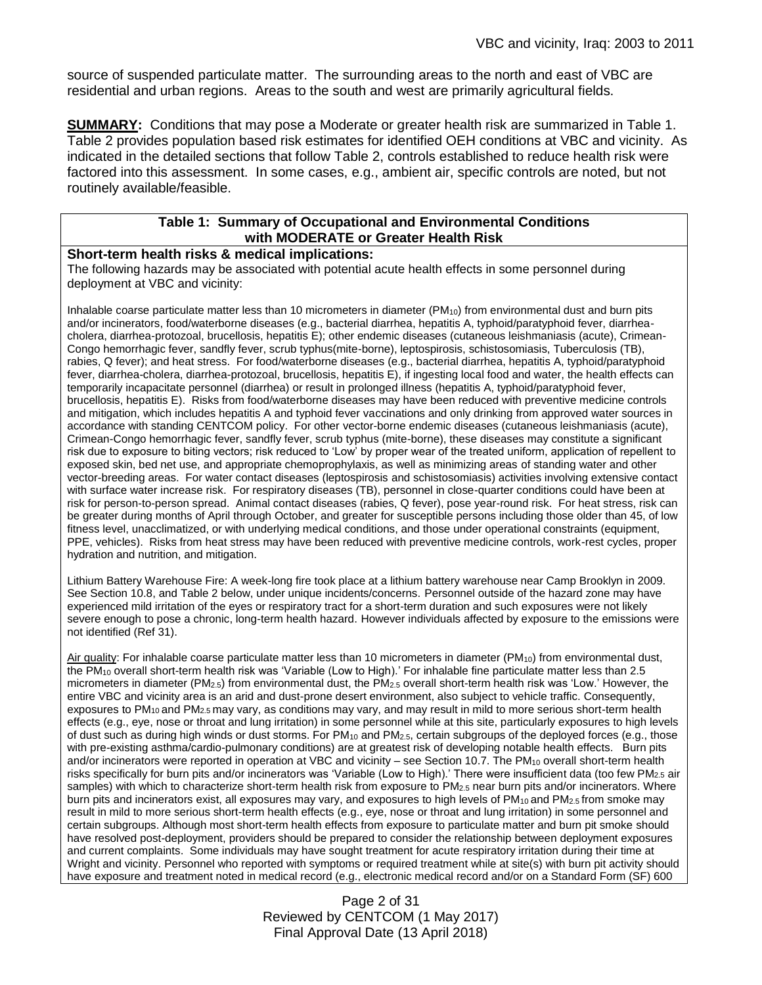source of suspended particulate matter. The surrounding areas to the north and east of VBC are residential and urban regions. Areas to the south and west are primarily agricultural fields.

**SUMMARY:** Conditions that may pose a Moderate or greater health risk are summarized in Table 1. Table 2 provides population based risk estimates for identified OEH conditions at VBC and vicinity. As indicated in the detailed sections that follow Table 2, controls established to reduce health risk were factored into this assessment. In some cases, e.g., ambient air, specific controls are noted, but not routinely available/feasible.

### **Table 1: Summary of Occupational and Environmental Conditions with MODERATE or Greater Health Risk**

### **Short-term health risks & medical implications:**

The following hazards may be associated with potential acute health effects in some personnel during deployment at VBC and vicinity:

Inhalable coarse particulate matter less than 10 micrometers in diameter  $(PM_{10})$  from environmental dust and burn pits and/or incinerators, food/waterborne diseases (e.g., bacterial diarrhea, hepatitis A, typhoid/paratyphoid fever, diarrheacholera, diarrhea-protozoal, brucellosis, hepatitis E); other endemic diseases (cutaneous leishmaniasis (acute), Crimean-Congo hemorrhagic fever, sandfly fever, scrub typhus(mite-borne), leptospirosis, schistosomiasis, Tuberculosis (TB), rabies, Q fever); and heat stress. For food/waterborne diseases (e.g., bacterial diarrhea, hepatitis A, typhoid/paratyphoid fever, diarrhea-cholera, diarrhea-protozoal, brucellosis, hepatitis E), if ingesting local food and water, the health effects can temporarily incapacitate personnel (diarrhea) or result in prolonged illness (hepatitis A, typhoid/paratyphoid fever, brucellosis, hepatitis E). Risks from food/waterborne diseases may have been reduced with preventive medicine controls and mitigation, which includes hepatitis A and typhoid fever vaccinations and only drinking from approved water sources in accordance with standing CENTCOM policy. For other vector-borne endemic diseases (cutaneous leishmaniasis (acute), Crimean-Congo hemorrhagic fever, sandfly fever, scrub typhus (mite-borne), these diseases may constitute a significant risk due to exposure to biting vectors; risk reduced to 'Low' by proper wear of the treated uniform, application of repellent to exposed skin, bed net use, and appropriate chemoprophylaxis, as well as minimizing areas of standing water and other vector-breeding areas. For water contact diseases (leptospirosis and schistosomiasis) activities involving extensive contact with surface water increase risk. For respiratory diseases (TB), personnel in close-quarter conditions could have been at risk for person-to-person spread. Animal contact diseases (rabies, Q fever), pose year-round risk. For heat stress, risk can be greater during months of April through October, and greater for susceptible persons including those older than 45, of low fitness level, unacclimatized, or with underlying medical conditions, and those under operational constraints (equipment, PPE, vehicles). Risks from heat stress may have been reduced with preventive medicine controls, work-rest cycles, proper hydration and nutrition, and mitigation.

Lithium Battery Warehouse Fire: A week-long fire took place at a lithium battery warehouse near Camp Brooklyn in 2009. See Section 10.8, and Table 2 below, under unique incidents/concerns. Personnel outside of the hazard zone may have experienced mild irritation of the eyes or respiratory tract for a short-term duration and such exposures were not likely severe enough to pose a chronic, long-term health hazard. However individuals affected by exposure to the emissions were not identified (Ref 31).

Air quality: For inhalable coarse particulate matter less than 10 micrometers in diameter (PM<sub>10</sub>) from environmental dust, the PM<sup>10</sup> overall short-term health risk was 'Variable (Low to High).' For inhalable fine particulate matter less than 2.5 micrometers in diameter (PM2.5) from environmental dust, the PM2.5 overall short-term health risk was 'Low.' However, the entire VBC and vicinity area is an arid and dust-prone desert environment, also subject to vehicle traffic. Consequently, exposures to  $PM_{10}$  and  $PM_{2.5}$  may vary, as conditions may vary, and may result in mild to more serious short-term health effects (e.g., eye, nose or throat and lung irritation) in some personnel while at this site, particularly exposures to high levels of dust such as during high winds or dust storms. For PM<sup>10</sup> and PM2.5, certain subgroups of the deployed forces (e.g., those with pre-existing asthma/cardio-pulmonary conditions) are at greatest risk of developing notable health effects. Burn pits and/or incinerators were reported in operation at VBC and vicinity – see Section 10.7. The PM<sub>10</sub> overall short-term health risks specifically for burn pits and/or incinerators was 'Variable (Low to High).' There were insufficient data (too few PM2.5 air samples) with which to characterize short-term health risk from exposure to PM<sub>2.5</sub> near burn pits and/or incinerators. Where burn pits and incinerators exist, all exposures may vary, and exposures to high levels of PM<sub>10</sub> and PM<sub>2.5</sub> from smoke may result in mild to more serious short-term health effects (e.g., eye, nose or throat and lung irritation) in some personnel and certain subgroups. Although most short-term health effects from exposure to particulate matter and burn pit smoke should have resolved post-deployment, providers should be prepared to consider the relationship between deployment exposures and current complaints. Some individuals may have sought treatment for acute respiratory irritation during their time at Wright and vicinity. Personnel who reported with symptoms or required treatment while at site(s) with burn pit activity should have exposure and treatment noted in medical record (e.g., electronic medical record and/or on a Standard Form (SF) 600

> Page 2 of 31 Reviewed by CENTCOM (1 May 2017) Final Approval Date (13 April 2018)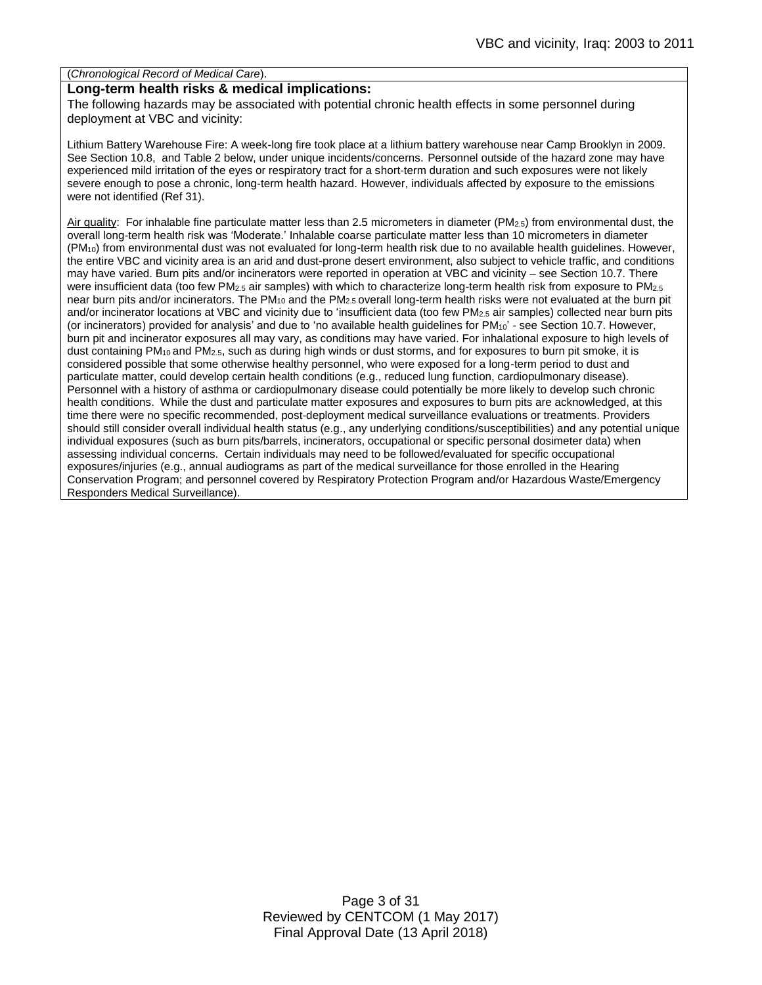#### (*Chronological Record of Medical Care*).

#### **Long-term health risks & medical implications:**

The following hazards may be associated with potential chronic health effects in some personnel during deployment at VBC and vicinity:

Lithium Battery Warehouse Fire: A week-long fire took place at a lithium battery warehouse near Camp Brooklyn in 2009. See Section 10.8, and Table 2 below, under unique incidents/concerns. Personnel outside of the hazard zone may have experienced mild irritation of the eyes or respiratory tract for a short-term duration and such exposures were not likely severe enough to pose a chronic, long-term health hazard. However, individuals affected by exposure to the emissions were not identified (Ref 31).

Air quality: For inhalable fine particulate matter less than 2.5 micrometers in diameter ( $PM_{2.5}$ ) from environmental dust, the overall long-term health risk was 'Moderate.' Inhalable coarse particulate matter less than 10 micrometers in diameter (PM10) from environmental dust was not evaluated for long-term health risk due to no available health guidelines. However, the entire VBC and vicinity area is an arid and dust-prone desert environment, also subject to vehicle traffic, and conditions may have varied. Burn pits and/or incinerators were reported in operation at VBC and vicinity – see Section 10.7. There were insufficient data (too few PM<sub>2.5</sub> air samples) with which to characterize long-term health risk from exposure to PM<sub>2.5</sub> near burn pits and/or incinerators. The PM<sub>10</sub> and the PM<sub>2.5</sub> overall long-term health risks were not evaluated at the burn pit and/or incinerator locations at VBC and vicinity due to 'insufficient data (too few PM2.5 air samples) collected near burn pits (or incinerators) provided for analysis' and due to 'no available health guidelines for  $PM_{10}$ ' - see Section 10.7. However, burn pit and incinerator exposures all may vary, as conditions may have varied. For inhalational exposure to high levels of dust containing  $PM_{10}$  and  $PM_{2.5}$ , such as during high winds or dust storms, and for exposures to burn pit smoke, it is considered possible that some otherwise healthy personnel, who were exposed for a long-term period to dust and particulate matter, could develop certain health conditions (e.g., reduced lung function, cardiopulmonary disease). Personnel with a history of asthma or cardiopulmonary disease could potentially be more likely to develop such chronic health conditions. While the dust and particulate matter exposures and exposures to burn pits are acknowledged, at this time there were no specific recommended, post-deployment medical surveillance evaluations or treatments. Providers should still consider overall individual health status (e.g., any underlying conditions/susceptibilities) and any potential unique individual exposures (such as burn pits/barrels, incinerators, occupational or specific personal dosimeter data) when assessing individual concerns. Certain individuals may need to be followed/evaluated for specific occupational exposures/injuries (e.g., annual audiograms as part of the medical surveillance for those enrolled in the Hearing Conservation Program; and personnel covered by Respiratory Protection Program and/or Hazardous Waste/Emergency Responders Medical Surveillance).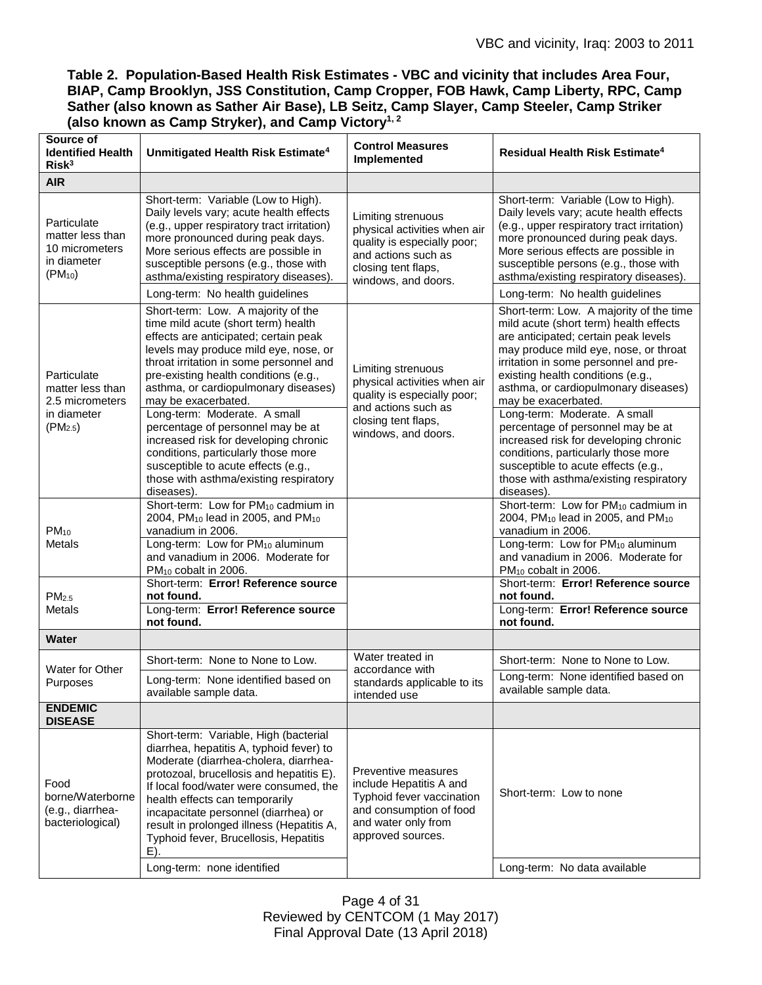**Table 2. Population-Based Health Risk Estimates - VBC and vicinity that includes Area Four, BIAP, Camp Brooklyn, JSS Constitution, Camp Cropper, FOB Hawk, Camp Liberty, RPC, Camp Sather (also known as Sather Air Base), LB Seitz, Camp Slayer, Camp Steeler, Camp Striker (also known as Camp Stryker), and Camp Victory1, 2**

| Source of<br><b>Identified Health</b><br>Risk <sup>3</sup>                        | Unmitigated Health Risk Estimate <sup>4</sup>                                                                                                                                                                                                                                                                                                                                                                                                                                                                                                                      | <b>Control Measures</b><br>Implemented                                                                                                                 | Residual Health Risk Estimate <sup>4</sup>                                                                                                                                                                                                                                                                                                                                                                                                                                                                                                                          |
|-----------------------------------------------------------------------------------|--------------------------------------------------------------------------------------------------------------------------------------------------------------------------------------------------------------------------------------------------------------------------------------------------------------------------------------------------------------------------------------------------------------------------------------------------------------------------------------------------------------------------------------------------------------------|--------------------------------------------------------------------------------------------------------------------------------------------------------|---------------------------------------------------------------------------------------------------------------------------------------------------------------------------------------------------------------------------------------------------------------------------------------------------------------------------------------------------------------------------------------------------------------------------------------------------------------------------------------------------------------------------------------------------------------------|
| <b>AIR</b>                                                                        |                                                                                                                                                                                                                                                                                                                                                                                                                                                                                                                                                                    |                                                                                                                                                        |                                                                                                                                                                                                                                                                                                                                                                                                                                                                                                                                                                     |
| Particulate<br>matter less than<br>10 micrometers<br>in diameter<br>$(PM_{10})$   | Short-term: Variable (Low to High).<br>Daily levels vary; acute health effects<br>(e.g., upper respiratory tract irritation)<br>more pronounced during peak days.<br>More serious effects are possible in<br>susceptible persons (e.g., those with<br>asthma/existing respiratory diseases).<br>Long-term: No health guidelines                                                                                                                                                                                                                                    | Limiting strenuous<br>physical activities when air<br>quality is especially poor;<br>and actions such as<br>closing tent flaps,<br>windows, and doors. | Short-term: Variable (Low to High).<br>Daily levels vary; acute health effects<br>(e.g., upper respiratory tract irritation)<br>more pronounced during peak days.<br>More serious effects are possible in<br>susceptible persons (e.g., those with<br>asthma/existing respiratory diseases).<br>Long-term: No health guidelines                                                                                                                                                                                                                                     |
| Particulate<br>matter less than<br>2.5 micrometers<br>in diameter<br>$(PM_{2.5})$ | Short-term: Low. A majority of the<br>time mild acute (short term) health<br>effects are anticipated; certain peak<br>levels may produce mild eye, nose, or<br>throat irritation in some personnel and<br>pre-existing health conditions (e.g.,<br>asthma, or cardiopulmonary diseases)<br>may be exacerbated.<br>Long-term: Moderate. A small<br>percentage of personnel may be at<br>increased risk for developing chronic<br>conditions, particularly those more<br>susceptible to acute effects (e.g.,<br>those with asthma/existing respiratory<br>diseases). | Limiting strenuous<br>physical activities when air<br>quality is especially poor;<br>and actions such as<br>closing tent flaps,<br>windows, and doors. | Short-term: Low. A majority of the time<br>mild acute (short term) health effects<br>are anticipated; certain peak levels<br>may produce mild eye, nose, or throat<br>irritation in some personnel and pre-<br>existing health conditions (e.g.,<br>asthma, or cardiopulmonary diseases)<br>may be exacerbated.<br>Long-term: Moderate. A small<br>percentage of personnel may be at<br>increased risk for developing chronic<br>conditions, particularly those more<br>susceptible to acute effects (e.g.,<br>those with asthma/existing respiratory<br>diseases). |
| $PM_{10}$<br><b>Metals</b>                                                        | Short-term: Low for PM <sub>10</sub> cadmium in<br>2004, PM <sub>10</sub> lead in 2005, and PM <sub>10</sub><br>vanadium in 2006.<br>Long-term: Low for PM <sub>10</sub> aluminum<br>and vanadium in 2006. Moderate for<br>PM <sub>10</sub> cobalt in 2006.                                                                                                                                                                                                                                                                                                        |                                                                                                                                                        | Short-term: Low for PM <sub>10</sub> cadmium in<br>2004, PM <sub>10</sub> lead in 2005, and PM <sub>10</sub><br>vanadium in 2006.<br>Long-term: Low for PM <sub>10</sub> aluminum<br>and vanadium in 2006. Moderate for<br>PM <sub>10</sub> cobalt in 2006.                                                                                                                                                                                                                                                                                                         |
| PM <sub>2.5</sub><br>Metals                                                       | Short-term: Error! Reference source<br>not found.<br>Long-term: Error! Reference source                                                                                                                                                                                                                                                                                                                                                                                                                                                                            |                                                                                                                                                        | Short-term: Error! Reference source<br>not found.<br>Long-term: Error! Reference source                                                                                                                                                                                                                                                                                                                                                                                                                                                                             |
|                                                                                   | not found.                                                                                                                                                                                                                                                                                                                                                                                                                                                                                                                                                         |                                                                                                                                                        | not found.                                                                                                                                                                                                                                                                                                                                                                                                                                                                                                                                                          |
| Water                                                                             |                                                                                                                                                                                                                                                                                                                                                                                                                                                                                                                                                                    |                                                                                                                                                        |                                                                                                                                                                                                                                                                                                                                                                                                                                                                                                                                                                     |
| Water for Other<br>Purposes                                                       | Short-term: None to None to Low.                                                                                                                                                                                                                                                                                                                                                                                                                                                                                                                                   | Water treated in                                                                                                                                       | Short-term: None to None to Low.                                                                                                                                                                                                                                                                                                                                                                                                                                                                                                                                    |
|                                                                                   | Long-term: None identified based on<br>available sample data.                                                                                                                                                                                                                                                                                                                                                                                                                                                                                                      | accordance with<br>standards applicable to its<br>intended use                                                                                         | Long-term: None identified based on<br>available sample data.                                                                                                                                                                                                                                                                                                                                                                                                                                                                                                       |
| <b>ENDEMIC</b><br><b>DISEASE</b>                                                  |                                                                                                                                                                                                                                                                                                                                                                                                                                                                                                                                                                    |                                                                                                                                                        |                                                                                                                                                                                                                                                                                                                                                                                                                                                                                                                                                                     |
| Food<br>borne/Waterborne<br>(e.g., diarrhea-<br>bacteriological)                  | Short-term: Variable, High (bacterial<br>diarrhea, hepatitis A, typhoid fever) to<br>Moderate (diarrhea-cholera, diarrhea-<br>protozoal, brucellosis and hepatitis E).<br>If local food/water were consumed, the<br>health effects can temporarily<br>incapacitate personnel (diarrhea) or<br>result in prolonged illness (Hepatitis A,<br>Typhoid fever, Brucellosis, Hepatitis<br>E).<br>Long-term: none identified                                                                                                                                              | Preventive measures<br>include Hepatitis A and<br>Typhoid fever vaccination<br>and consumption of food<br>and water only from<br>approved sources.     | Short-term: Low to none<br>Long-term: No data available                                                                                                                                                                                                                                                                                                                                                                                                                                                                                                             |
|                                                                                   |                                                                                                                                                                                                                                                                                                                                                                                                                                                                                                                                                                    |                                                                                                                                                        |                                                                                                                                                                                                                                                                                                                                                                                                                                                                                                                                                                     |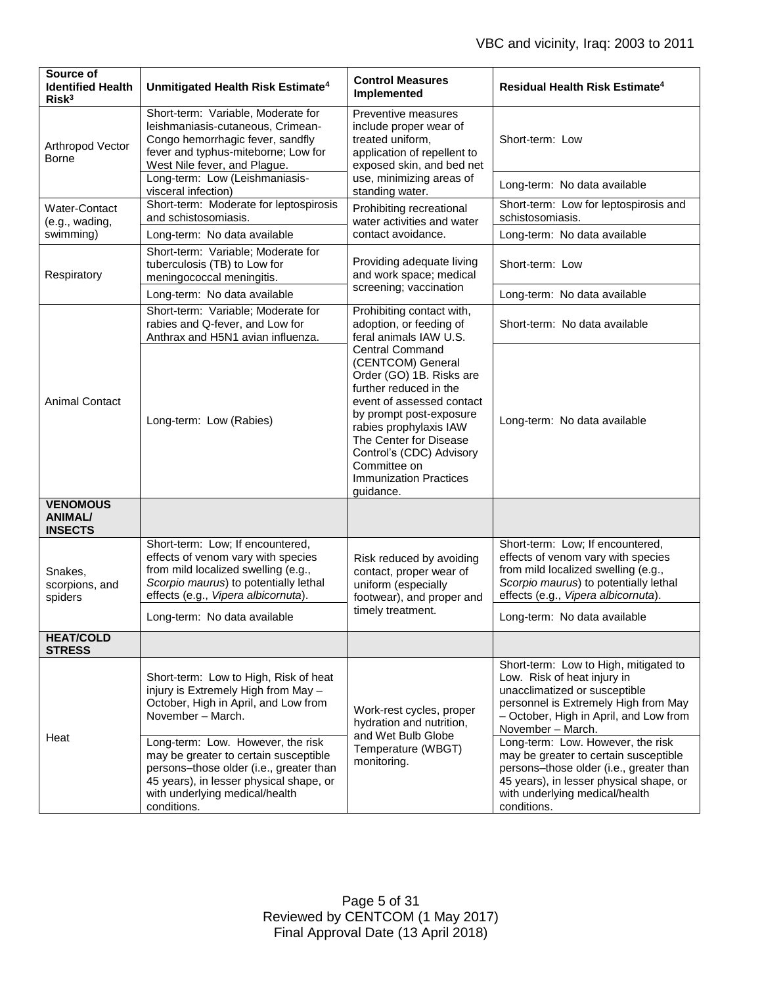| Source of<br><b>Identified Health</b><br>Risk <sup>3</sup> | Unmitigated Health Risk Estimate <sup>4</sup>                                                                                                                                                                                                                                                                                                                  | <b>Control Measures</b><br>Implemented                                                                                                                                                                                                                                                                                                                                                    | Residual Health Risk Estimate <sup>4</sup>                                                                                                                                                                                                                                                                                                                                                                                        |
|------------------------------------------------------------|----------------------------------------------------------------------------------------------------------------------------------------------------------------------------------------------------------------------------------------------------------------------------------------------------------------------------------------------------------------|-------------------------------------------------------------------------------------------------------------------------------------------------------------------------------------------------------------------------------------------------------------------------------------------------------------------------------------------------------------------------------------------|-----------------------------------------------------------------------------------------------------------------------------------------------------------------------------------------------------------------------------------------------------------------------------------------------------------------------------------------------------------------------------------------------------------------------------------|
| Arthropod Vector<br><b>Borne</b>                           | Short-term: Variable, Moderate for<br>leishmaniasis-cutaneous, Crimean-<br>Congo hemorrhagic fever, sandfly<br>fever and typhus-miteborne; Low for<br>West Nile fever, and Plague.                                                                                                                                                                             | Preventive measures<br>include proper wear of<br>treated uniform.<br>application of repellent to<br>exposed skin, and bed net<br>use, minimizing areas of<br>standing water.                                                                                                                                                                                                              | Short-term: Low                                                                                                                                                                                                                                                                                                                                                                                                                   |
|                                                            | Long-term: Low (Leishmaniasis-<br>visceral infection)                                                                                                                                                                                                                                                                                                          |                                                                                                                                                                                                                                                                                                                                                                                           | Long-term: No data available                                                                                                                                                                                                                                                                                                                                                                                                      |
| Water-Contact<br>(e.g., wading,                            | Short-term: Moderate for leptospirosis<br>and schistosomiasis.                                                                                                                                                                                                                                                                                                 | Prohibiting recreational<br>water activities and water                                                                                                                                                                                                                                                                                                                                    | Short-term: Low for leptospirosis and<br>schistosomiasis.                                                                                                                                                                                                                                                                                                                                                                         |
| swimming)                                                  | Long-term: No data available                                                                                                                                                                                                                                                                                                                                   | contact avoidance.                                                                                                                                                                                                                                                                                                                                                                        | Long-term: No data available                                                                                                                                                                                                                                                                                                                                                                                                      |
| Respiratory                                                | Short-term: Variable; Moderate for<br>tuberculosis (TB) to Low for<br>meningococcal meningitis.                                                                                                                                                                                                                                                                | Providing adequate living<br>and work space; medical                                                                                                                                                                                                                                                                                                                                      | Short-term: Low                                                                                                                                                                                                                                                                                                                                                                                                                   |
|                                                            | Long-term: No data available                                                                                                                                                                                                                                                                                                                                   | screening; vaccination                                                                                                                                                                                                                                                                                                                                                                    | Long-term: No data available                                                                                                                                                                                                                                                                                                                                                                                                      |
|                                                            | Short-term: Variable; Moderate for<br>rabies and Q-fever, and Low for<br>Anthrax and H5N1 avian influenza.                                                                                                                                                                                                                                                     | Prohibiting contact with,<br>adoption, or feeding of<br>feral animals IAW U.S.<br><b>Central Command</b><br>(CENTCOM) General<br>Order (GO) 1B. Risks are<br>further reduced in the<br>event of assessed contact<br>by prompt post-exposure<br>rabies prophylaxis IAW<br>The Center for Disease<br>Control's (CDC) Advisory<br>Committee on<br><b>Immunization Practices</b><br>guidance. | Short-term: No data available                                                                                                                                                                                                                                                                                                                                                                                                     |
| <b>Animal Contact</b>                                      | Long-term: Low (Rabies)                                                                                                                                                                                                                                                                                                                                        |                                                                                                                                                                                                                                                                                                                                                                                           | Long-term: No data available                                                                                                                                                                                                                                                                                                                                                                                                      |
| <b>VENOMOUS</b><br><b>ANIMAL/</b><br><b>INSECTS</b>        |                                                                                                                                                                                                                                                                                                                                                                |                                                                                                                                                                                                                                                                                                                                                                                           |                                                                                                                                                                                                                                                                                                                                                                                                                                   |
| Snakes,<br>scorpions, and<br>spiders                       | Short-term: Low; If encountered,<br>effects of venom vary with species<br>from mild localized swelling (e.g.,<br>Scorpio maurus) to potentially lethal<br>effects (e.g., Vipera albicornuta).                                                                                                                                                                  | Risk reduced by avoiding<br>contact, proper wear of<br>uniform (especially<br>footwear), and proper and<br>timely treatment.                                                                                                                                                                                                                                                              | Short-term: Low; If encountered,<br>effects of venom vary with species<br>from mild localized swelling (e.g.,<br>Scorpio maurus) to potentially lethal<br>effects (e.g., Vipera albicornuta).                                                                                                                                                                                                                                     |
|                                                            | Long-term: No data available                                                                                                                                                                                                                                                                                                                                   |                                                                                                                                                                                                                                                                                                                                                                                           | Long-term: No data available                                                                                                                                                                                                                                                                                                                                                                                                      |
| <b>HEAT/COLD</b><br><b>STRESS</b>                          |                                                                                                                                                                                                                                                                                                                                                                |                                                                                                                                                                                                                                                                                                                                                                                           |                                                                                                                                                                                                                                                                                                                                                                                                                                   |
| Heat                                                       | Short-term: Low to High, Risk of heat<br>injury is Extremely High from May -<br>October, High in April, and Low from<br>November - March.<br>Long-term: Low. However, the risk<br>may be greater to certain susceptible<br>persons-those older (i.e., greater than<br>45 years), in lesser physical shape, or<br>with underlying medical/health<br>conditions. | Work-rest cycles, proper<br>hydration and nutrition,<br>and Wet Bulb Globe<br>Temperature (WBGT)<br>monitoring.                                                                                                                                                                                                                                                                           | Short-term: Low to High, mitigated to<br>Low. Risk of heat injury in<br>unacclimatized or susceptible<br>personnel is Extremely High from May<br>- October, High in April, and Low from<br>November - March.<br>Long-term: Low. However, the risk<br>may be greater to certain susceptible<br>persons-those older (i.e., greater than<br>45 years), in lesser physical shape, or<br>with underlying medical/health<br>conditions. |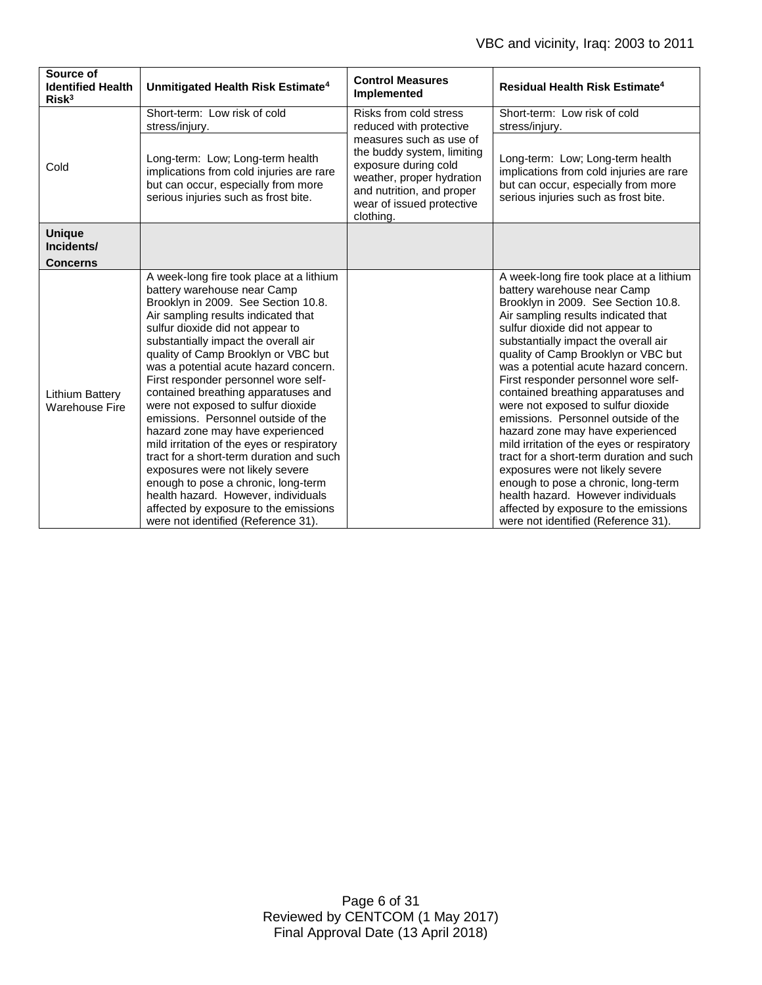| Source of<br><b>Identified Health</b><br>Risk <sup>3</sup> | Unmitigated Health Risk Estimate <sup>4</sup>                                                                                                                                                                                                                                                                                                                                                                                                                                                                                                                                                                                                                                                                                                                                                                 | <b>Control Measures</b><br>Implemented                                                                                                                                            | <b>Residual Health Risk Estimate<sup>4</sup></b>                                                                                                                                                                                                                                                                                                                                                                                                                                                                                                                                                                                                                                                                                                                                                             |
|------------------------------------------------------------|---------------------------------------------------------------------------------------------------------------------------------------------------------------------------------------------------------------------------------------------------------------------------------------------------------------------------------------------------------------------------------------------------------------------------------------------------------------------------------------------------------------------------------------------------------------------------------------------------------------------------------------------------------------------------------------------------------------------------------------------------------------------------------------------------------------|-----------------------------------------------------------------------------------------------------------------------------------------------------------------------------------|--------------------------------------------------------------------------------------------------------------------------------------------------------------------------------------------------------------------------------------------------------------------------------------------------------------------------------------------------------------------------------------------------------------------------------------------------------------------------------------------------------------------------------------------------------------------------------------------------------------------------------------------------------------------------------------------------------------------------------------------------------------------------------------------------------------|
|                                                            | Short-term: Low risk of cold<br>stress/injury.                                                                                                                                                                                                                                                                                                                                                                                                                                                                                                                                                                                                                                                                                                                                                                | Risks from cold stress<br>reduced with protective                                                                                                                                 | Short-term: Low risk of cold<br>stress/injury.                                                                                                                                                                                                                                                                                                                                                                                                                                                                                                                                                                                                                                                                                                                                                               |
| Cold                                                       | Long-term: Low; Long-term health<br>implications from cold injuries are rare<br>but can occur, especially from more<br>serious injuries such as frost bite.                                                                                                                                                                                                                                                                                                                                                                                                                                                                                                                                                                                                                                                   | measures such as use of<br>the buddy system, limiting<br>exposure during cold<br>weather, proper hydration<br>and nutrition, and proper<br>wear of issued protective<br>clothing. | Long-term: Low; Long-term health<br>implications from cold injuries are rare<br>but can occur, especially from more<br>serious injuries such as frost bite.                                                                                                                                                                                                                                                                                                                                                                                                                                                                                                                                                                                                                                                  |
| <b>Unique</b><br>Incidents/                                |                                                                                                                                                                                                                                                                                                                                                                                                                                                                                                                                                                                                                                                                                                                                                                                                               |                                                                                                                                                                                   |                                                                                                                                                                                                                                                                                                                                                                                                                                                                                                                                                                                                                                                                                                                                                                                                              |
| <b>Concerns</b>                                            |                                                                                                                                                                                                                                                                                                                                                                                                                                                                                                                                                                                                                                                                                                                                                                                                               |                                                                                                                                                                                   |                                                                                                                                                                                                                                                                                                                                                                                                                                                                                                                                                                                                                                                                                                                                                                                                              |
| Lithium Battery<br><b>Warehouse Fire</b>                   | A week-long fire took place at a lithium<br>battery warehouse near Camp<br>Brooklyn in 2009. See Section 10.8.<br>Air sampling results indicated that<br>sulfur dioxide did not appear to<br>substantially impact the overall air<br>quality of Camp Brooklyn or VBC but<br>was a potential acute hazard concern.<br>First responder personnel wore self-<br>contained breathing apparatuses and<br>were not exposed to sulfur dioxide<br>emissions. Personnel outside of the<br>hazard zone may have experienced<br>mild irritation of the eyes or respiratory<br>tract for a short-term duration and such<br>exposures were not likely severe<br>enough to pose a chronic, long-term<br>health hazard. However, individuals<br>affected by exposure to the emissions<br>were not identified (Reference 31). |                                                                                                                                                                                   | A week-long fire took place at a lithium<br>battery warehouse near Camp<br>Brooklyn in 2009. See Section 10.8.<br>Air sampling results indicated that<br>sulfur dioxide did not appear to<br>substantially impact the overall air<br>quality of Camp Brooklyn or VBC but<br>was a potential acute hazard concern.<br>First responder personnel wore self-<br>contained breathing apparatuses and<br>were not exposed to sulfur dioxide<br>emissions. Personnel outside of the<br>hazard zone may have experienced<br>mild irritation of the eyes or respiratory<br>tract for a short-term duration and such<br>exposures were not likely severe<br>enough to pose a chronic, long-term<br>health hazard. However individuals<br>affected by exposure to the emissions<br>were not identified (Reference 31). |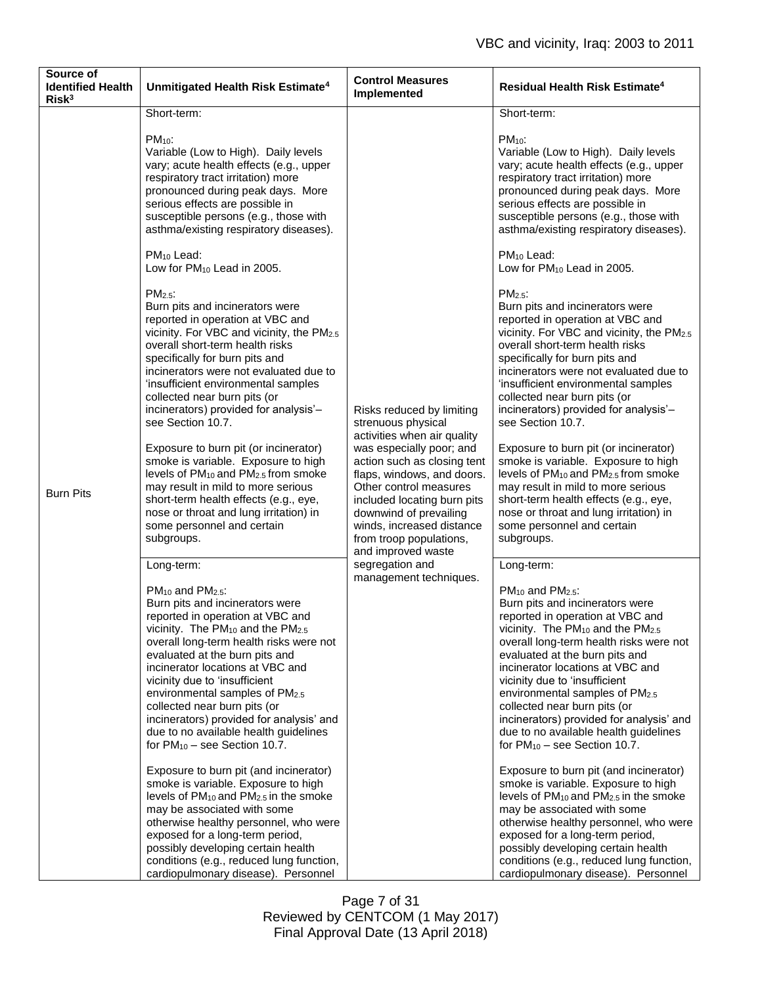| Source of<br><b>Identified Health</b><br>Risk <sup>3</sup> | Unmitigated Health Risk Estimate <sup>4</sup>                                                                                                                                                                                                                                                                                                                                                                                                                                                                                                                                                                                                                                                         | <b>Control Measures</b><br>Implemented                                                                                                                                                                                                                                                                             | Residual Health Risk Estimate <sup>4</sup>                                                                                                                                                                                                                                                                                                                                                                                                                                                                                                                                                                                                                                                            |
|------------------------------------------------------------|-------------------------------------------------------------------------------------------------------------------------------------------------------------------------------------------------------------------------------------------------------------------------------------------------------------------------------------------------------------------------------------------------------------------------------------------------------------------------------------------------------------------------------------------------------------------------------------------------------------------------------------------------------------------------------------------------------|--------------------------------------------------------------------------------------------------------------------------------------------------------------------------------------------------------------------------------------------------------------------------------------------------------------------|-------------------------------------------------------------------------------------------------------------------------------------------------------------------------------------------------------------------------------------------------------------------------------------------------------------------------------------------------------------------------------------------------------------------------------------------------------------------------------------------------------------------------------------------------------------------------------------------------------------------------------------------------------------------------------------------------------|
|                                                            | Short-term:                                                                                                                                                                                                                                                                                                                                                                                                                                                                                                                                                                                                                                                                                           |                                                                                                                                                                                                                                                                                                                    | Short-term:                                                                                                                                                                                                                                                                                                                                                                                                                                                                                                                                                                                                                                                                                           |
|                                                            | $PM_{10}$ :<br>Variable (Low to High). Daily levels<br>vary; acute health effects (e.g., upper<br>respiratory tract irritation) more<br>pronounced during peak days. More<br>serious effects are possible in<br>susceptible persons (e.g., those with<br>asthma/existing respiratory diseases).                                                                                                                                                                                                                                                                                                                                                                                                       |                                                                                                                                                                                                                                                                                                                    | $PM_{10}$ :<br>Variable (Low to High). Daily levels<br>vary; acute health effects (e.g., upper<br>respiratory tract irritation) more<br>pronounced during peak days. More<br>serious effects are possible in<br>susceptible persons (e.g., those with<br>asthma/existing respiratory diseases).                                                                                                                                                                                                                                                                                                                                                                                                       |
|                                                            | PM <sub>10</sub> Lead:<br>Low for PM <sub>10</sub> Lead in 2005.                                                                                                                                                                                                                                                                                                                                                                                                                                                                                                                                                                                                                                      |                                                                                                                                                                                                                                                                                                                    | PM <sub>10</sub> Lead:<br>Low for PM <sub>10</sub> Lead in 2005.                                                                                                                                                                                                                                                                                                                                                                                                                                                                                                                                                                                                                                      |
| <b>Burn Pits</b>                                           | $PM2.5$ :<br>Burn pits and incinerators were<br>reported in operation at VBC and<br>vicinity. For VBC and vicinity, the PM2.5<br>overall short-term health risks<br>specifically for burn pits and<br>incinerators were not evaluated due to<br>'insufficient environmental samples<br>collected near burn pits (or<br>incinerators) provided for analysis'-<br>see Section 10.7.<br>Exposure to burn pit (or incinerator)<br>smoke is variable. Exposure to high<br>levels of PM <sub>10</sub> and PM <sub>2.5</sub> from smoke<br>may result in mild to more serious<br>short-term health effects (e.g., eye,<br>nose or throat and lung irritation) in<br>some personnel and certain<br>subgroups. | Risks reduced by limiting<br>strenuous physical<br>activities when air quality<br>was especially poor; and<br>action such as closing tent<br>flaps, windows, and doors.<br>Other control measures<br>included locating burn pits<br>downwind of prevailing<br>winds, increased distance<br>from troop populations, | $PM2.5$ :<br>Burn pits and incinerators were<br>reported in operation at VBC and<br>vicinity. For VBC and vicinity, the PM2.5<br>overall short-term health risks<br>specifically for burn pits and<br>incinerators were not evaluated due to<br>'insufficient environmental samples<br>collected near burn pits (or<br>incinerators) provided for analysis'-<br>see Section 10.7.<br>Exposure to burn pit (or incinerator)<br>smoke is variable. Exposure to high<br>levels of PM <sub>10</sub> and PM <sub>2.5</sub> from smoke<br>may result in mild to more serious<br>short-term health effects (e.g., eye,<br>nose or throat and lung irritation) in<br>some personnel and certain<br>subgroups. |
|                                                            | Long-term:                                                                                                                                                                                                                                                                                                                                                                                                                                                                                                                                                                                                                                                                                            | and improved waste<br>segregation and                                                                                                                                                                                                                                                                              | Long-term:                                                                                                                                                                                                                                                                                                                                                                                                                                                                                                                                                                                                                                                                                            |
|                                                            | PM <sub>10</sub> and PM <sub>2.5</sub> :<br>Burn pits and incinerators were<br>reported in operation at VBC and<br>vicinity. The $PM_{10}$ and the $PM_{2.5}$<br>overall long-term health risks were not<br>evaluated at the burn pits and<br>incinerator locations at VBC and<br>vicinity due to 'insufficient<br>environmental samples of PM <sub>2.5</sub><br>collected near burn pits (or<br>incinerators) provided for analysis' and<br>due to no available health guidelines<br>for $PM_{10}$ – see Section 10.7.                                                                                                                                                                               | management techniques.                                                                                                                                                                                                                                                                                             | $PM_{10}$ and $PM_{2.5}$ :<br>Burn pits and incinerators were<br>reported in operation at VBC and<br>vicinity. The $PM_{10}$ and the $PM_{2.5}$<br>overall long-term health risks were not<br>evaluated at the burn pits and<br>incinerator locations at VBC and<br>vicinity due to 'insufficient<br>environmental samples of PM <sub>2.5</sub><br>collected near burn pits (or<br>incinerators) provided for analysis' and<br>due to no available health guidelines<br>for $PM_{10}$ – see Section 10.7.                                                                                                                                                                                             |
|                                                            | Exposure to burn pit (and incinerator)<br>smoke is variable. Exposure to high<br>levels of PM <sub>10</sub> and PM <sub>2.5</sub> in the smoke<br>may be associated with some<br>otherwise healthy personnel, who were<br>exposed for a long-term period,<br>possibly developing certain health                                                                                                                                                                                                                                                                                                                                                                                                       |                                                                                                                                                                                                                                                                                                                    | Exposure to burn pit (and incinerator)<br>smoke is variable. Exposure to high<br>levels of PM <sub>10</sub> and PM <sub>2.5</sub> in the smoke<br>may be associated with some<br>otherwise healthy personnel, who were<br>exposed for a long-term period,<br>possibly developing certain health                                                                                                                                                                                                                                                                                                                                                                                                       |
|                                                            | conditions (e.g., reduced lung function,<br>cardiopulmonary disease). Personnel                                                                                                                                                                                                                                                                                                                                                                                                                                                                                                                                                                                                                       |                                                                                                                                                                                                                                                                                                                    | conditions (e.g., reduced lung function,<br>cardiopulmonary disease). Personnel                                                                                                                                                                                                                                                                                                                                                                                                                                                                                                                                                                                                                       |

Page 7 of 31 Reviewed by CENTCOM (1 May 2017) Final Approval Date (13 April 2018)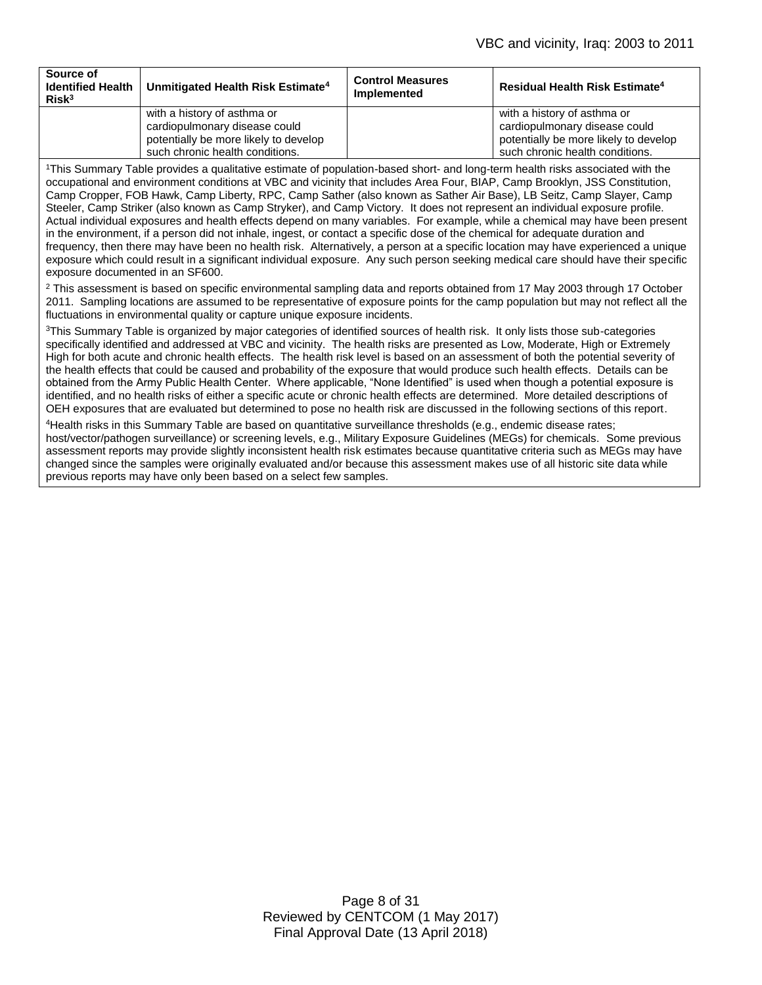| Source of<br><b>Identified Health</b><br>Risk <sup>3</sup> | Unmitigated Health Risk Estimate <sup>4</sup>                            | <b>Control Measures</b><br><b>Implemented</b> | Residual Health Risk Estimate <sup>4</sup>                               |
|------------------------------------------------------------|--------------------------------------------------------------------------|-----------------------------------------------|--------------------------------------------------------------------------|
|                                                            | with a history of asthma or<br>cardiopulmonary disease could             |                                               | with a history of asthma or<br>cardiopulmonary disease could             |
|                                                            | potentially be more likely to develop<br>such chronic health conditions. |                                               | potentially be more likely to develop<br>such chronic health conditions. |

<sup>1</sup>This Summary Table provides a qualitative estimate of population-based short- and long-term health risks associated with the occupational and environment conditions at VBC and vicinity that includes Area Four, BIAP, Camp Brooklyn, JSS Constitution, Camp Cropper, FOB Hawk, Camp Liberty, RPC, Camp Sather (also known as Sather Air Base), LB Seitz, Camp Slayer, Camp Steeler, Camp Striker (also known as Camp Stryker), and Camp Victory. It does not represent an individual exposure profile. Actual individual exposures and health effects depend on many variables. For example, while a chemical may have been present in the environment, if a person did not inhale, ingest, or contact a specific dose of the chemical for adequate duration and frequency, then there may have been no health risk. Alternatively, a person at a specific location may have experienced a unique exposure which could result in a significant individual exposure. Any such person seeking medical care should have their specific exposure documented in an SF600.

 $2$  This assessment is based on specific environmental sampling data and reports obtained from 17 May 2003 through 17 October 2011. Sampling locations are assumed to be representative of exposure points for the camp population but may not reflect all the fluctuations in environmental quality or capture unique exposure incidents.

<sup>3</sup>This Summary Table is organized by major categories of identified sources of health risk. It only lists those sub-categories specifically identified and addressed at VBC and vicinity. The health risks are presented as Low, Moderate, High or Extremely High for both acute and chronic health effects. The health risk level is based on an assessment of both the potential severity of the health effects that could be caused and probability of the exposure that would produce such health effects. Details can be obtained from the Army Public Health Center. Where applicable, "None Identified" is used when though a potential exposure is identified, and no health risks of either a specific acute or chronic health effects are determined. More detailed descriptions of OEH exposures that are evaluated but determined to pose no health risk are discussed in the following sections of this report.

<sup>4</sup>Health risks in this Summary Table are based on quantitative surveillance thresholds (e.g., endemic disease rates; host/vector/pathogen surveillance) or screening levels, e.g., Military Exposure Guidelines (MEGs) for chemicals. Some previous assessment reports may provide slightly inconsistent health risk estimates because quantitative criteria such as MEGs may have changed since the samples were originally evaluated and/or because this assessment makes use of all historic site data while previous reports may have only been based on a select few samples.

> Page 8 of 31 Reviewed by CENTCOM (1 May 2017) Final Approval Date (13 April 2018)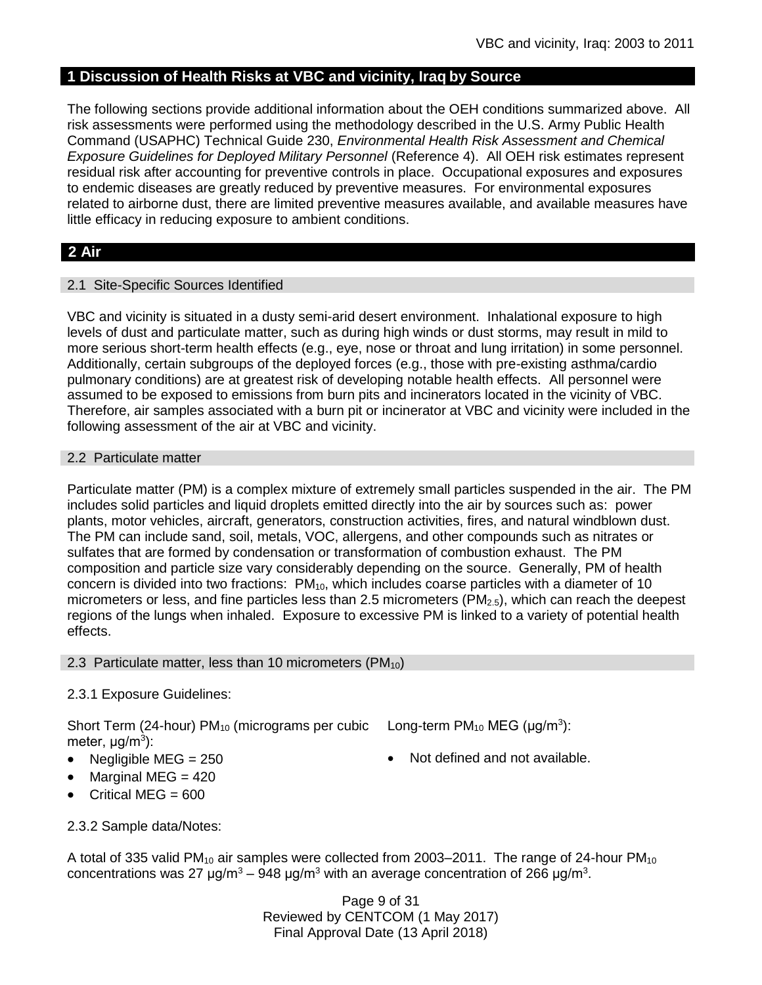# **1 Discussion of Health Risks at VBC and vicinity, Iraq by Source**

The following sections provide additional information about the OEH conditions summarized above. All risk assessments were performed using the methodology described in the U.S. Army Public Health Command (USAPHC) Technical Guide 230, *Environmental Health Risk Assessment and Chemical Exposure Guidelines for Deployed Military Personnel* (Reference 4). All OEH risk estimates represent residual risk after accounting for preventive controls in place. Occupational exposures and exposures to endemic diseases are greatly reduced by preventive measures. For environmental exposures related to airborne dust, there are limited preventive measures available, and available measures have little efficacy in reducing exposure to ambient conditions.

# **2 Air**

### 2.1 Site-Specific Sources Identified

VBC and vicinity is situated in a dusty semi-arid desert environment. Inhalational exposure to high levels of dust and particulate matter, such as during high winds or dust storms, may result in mild to more serious short-term health effects (e.g., eye, nose or throat and lung irritation) in some personnel. Additionally, certain subgroups of the deployed forces (e.g., those with pre-existing asthma/cardio pulmonary conditions) are at greatest risk of developing notable health effects. All personnel were assumed to be exposed to emissions from burn pits and incinerators located in the vicinity of VBC. Therefore, air samples associated with a burn pit or incinerator at VBC and vicinity were included in the following assessment of the air at VBC and vicinity.

# 2.2 Particulate matter

Particulate matter (PM) is a complex mixture of extremely small particles suspended in the air. The PM includes solid particles and liquid droplets emitted directly into the air by sources such as: power plants, motor vehicles, aircraft, generators, construction activities, fires, and natural windblown dust. The PM can include sand, soil, metals, VOC, allergens, and other compounds such as nitrates or sulfates that are formed by condensation or transformation of combustion exhaust. The PM composition and particle size vary considerably depending on the source. Generally, PM of health concern is divided into two fractions:  $PM_{10}$ , which includes coarse particles with a diameter of 10 micrometers or less, and fine particles less than 2.5 micrometers  $(PM_{2.5})$ , which can reach the deepest regions of the lungs when inhaled. Exposure to excessive PM is linked to a variety of potential health effects.

### 2.3 Particulate matter, less than 10 micrometers ( $PM_{10}$ )

# 2.3.1 Exposure Guidelines:

Short Term (24-hour) PM<sub>10</sub> (micrograms per cubic Long-term PM<sub>10</sub> MEG ( $\mu$ g/m<sup>3</sup>): meter, μg/m<sup>3</sup>):

- Negligible MEG = 250 **•** Not defined and not available.
- Marginal MEG  $= 420$
- Critical MEG  $= 600$
- 2.3.2 Sample data/Notes:

A total of 335 valid  $PM_{10}$  air samples were collected from 2003–2011. The range of 24-hour  $PM_{10}$ concentrations was 27 μg/m<sup>3</sup> – 948 μg/m<sup>3</sup> with an average concentration of 266 μg/m<sup>3</sup>.

> Page 9 of 31 Reviewed by CENTCOM (1 May 2017) Final Approval Date (13 April 2018)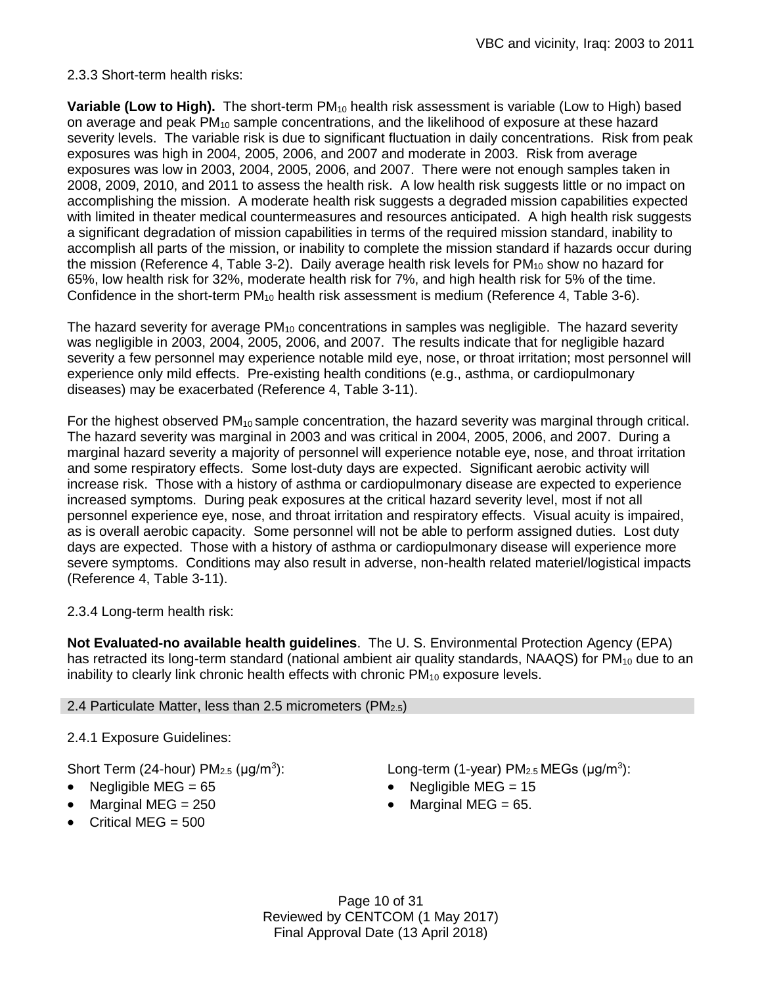### 2.3.3 Short-term health risks:

**Variable (Low to High).** The short-term PM<sub>10</sub> health risk assessment is variable (Low to High) based on average and peak PM<sub>10</sub> sample concentrations, and the likelihood of exposure at these hazard severity levels. The variable risk is due to significant fluctuation in daily concentrations. Risk from peak exposures was high in 2004, 2005, 2006, and 2007 and moderate in 2003. Risk from average exposures was low in 2003, 2004, 2005, 2006, and 2007. There were not enough samples taken in 2008, 2009, 2010, and 2011 to assess the health risk. A low health risk suggests little or no impact on accomplishing the mission. A moderate health risk suggests a degraded mission capabilities expected with limited in theater medical countermeasures and resources anticipated. A high health risk suggests a significant degradation of mission capabilities in terms of the required mission standard, inability to accomplish all parts of the mission, or inability to complete the mission standard if hazards occur during the mission (Reference 4, Table 3-2). Daily average health risk levels for  $PM_{10}$  show no hazard for 65%, low health risk for 32%, moderate health risk for 7%, and high health risk for 5% of the time. Confidence in the short-term  $PM_{10}$  health risk assessment is medium (Reference 4, Table 3-6).

The hazard severity for average  $PM_{10}$  concentrations in samples was negligible. The hazard severity was negligible in 2003, 2004, 2005, 2006, and 2007. The results indicate that for negligible hazard severity a few personnel may experience notable mild eye, nose, or throat irritation; most personnel will experience only mild effects. Pre-existing health conditions (e.g., asthma, or cardiopulmonary diseases) may be exacerbated (Reference 4, Table 3-11).

For the highest observed  $PM_{10}$  sample concentration, the hazard severity was marginal through critical. The hazard severity was marginal in 2003 and was critical in 2004, 2005, 2006, and 2007. During a marginal hazard severity a majority of personnel will experience notable eye, nose, and throat irritation and some respiratory effects. Some lost-duty days are expected. Significant aerobic activity will increase risk. Those with a history of asthma or cardiopulmonary disease are expected to experience increased symptoms. During peak exposures at the critical hazard severity level, most if not all personnel experience eye, nose, and throat irritation and respiratory effects. Visual acuity is impaired, as is overall aerobic capacity. Some personnel will not be able to perform assigned duties. Lost duty days are expected. Those with a history of asthma or cardiopulmonary disease will experience more severe symptoms. Conditions may also result in adverse, non-health related materiel/logistical impacts (Reference 4, Table 3-11).

2.3.4 Long-term health risk:

**Not Evaluated-no available health guidelines**. The U. S. Environmental Protection Agency (EPA) has retracted its long-term standard (national ambient air quality standards,  $NAAGS$ ) for  $PM_{10}$  due to an inability to clearly link chronic health effects with chronic  $PM_{10}$  exposure levels.

### 2.4 Particulate Matter, less than 2.5 micrometers  $(PM_{2.5})$

2.4.1 Exposure Guidelines:

Short Term (24-hour)  $PM<sub>2.5</sub>$  ( $\mu q/m<sup>3</sup>$ ):

- 
- Marginal MEG =  $250$   $\bullet$  Marginal MEG =  $65$ .
- $\bullet$  Critical MEG = 500

): Long-term (1-year)  $PM<sub>2.5</sub> MEGs (µg/m<sup>3</sup>)$ :

- Negligible MEG = 65 Negligible MEG = 15
	-

Page 10 of 31 Reviewed by CENTCOM (1 May 2017) Final Approval Date (13 April 2018)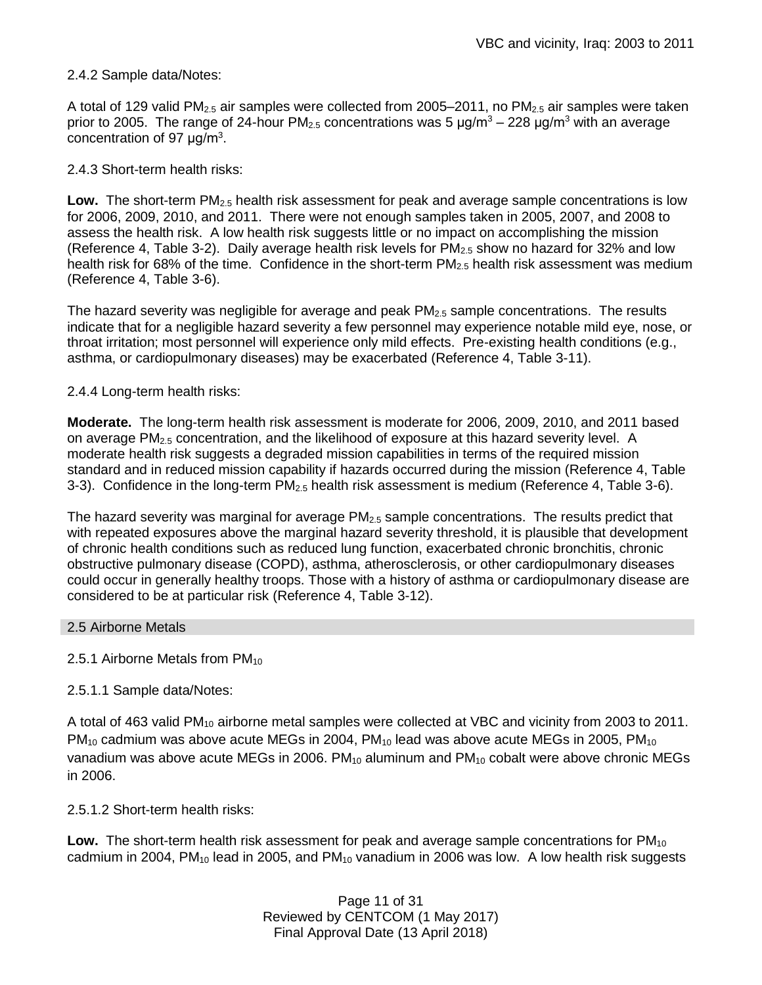### 2.4.2 Sample data/Notes:

A total of 129 valid PM<sub>2.5</sub> air samples were collected from 2005–2011, no PM<sub>2.5</sub> air samples were taken prior to 2005. The range of 24-hour  $PM_{2.5}$  concentrations was 5  $\mu q/m^3 - 228 \mu q/m^3$  with an average concentration of 97  $\mu$ g/m<sup>3</sup>.

### 2.4.3 Short-term health risks:

**Low.** The short-term PM2.5 health risk assessment for peak and average sample concentrations is low for 2006, 2009, 2010, and 2011. There were not enough samples taken in 2005, 2007, and 2008 to assess the health risk. A low health risk suggests little or no impact on accomplishing the mission (Reference 4, Table 3-2). Daily average health risk levels for  $PM_{2.5}$  show no hazard for 32% and low health risk for 68% of the time. Confidence in the short-term  $PM_{2.5}$  health risk assessment was medium (Reference 4, Table 3-6).

The hazard severity was negligible for average and peak  $PM<sub>2.5</sub>$  sample concentrations. The results indicate that for a negligible hazard severity a few personnel may experience notable mild eye, nose, or throat irritation; most personnel will experience only mild effects. Pre-existing health conditions (e.g., asthma, or cardiopulmonary diseases) may be exacerbated (Reference 4, Table 3-11).

### 2.4.4 Long-term health risks:

**Moderate.** The long-term health risk assessment is moderate for 2006, 2009, 2010, and 2011 based on average  $PM_{2.5}$  concentration, and the likelihood of exposure at this hazard severity level. A moderate health risk suggests a degraded mission capabilities in terms of the required mission standard and in reduced mission capability if hazards occurred during the mission (Reference 4, Table 3-3). Confidence in the long-term  $PM<sub>2.5</sub>$  health risk assessment is medium (Reference 4, Table 3-6).

The hazard severity was marginal for average  $PM_{2.5}$  sample concentrations. The results predict that with repeated exposures above the marginal hazard severity threshold, it is plausible that development of chronic health conditions such as reduced lung function, exacerbated chronic bronchitis, chronic obstructive pulmonary disease (COPD), asthma, atherosclerosis, or other cardiopulmonary diseases could occur in generally healthy troops. Those with a history of asthma or cardiopulmonary disease are considered to be at particular risk (Reference 4, Table 3-12).

### 2.5 Airborne Metals

2.5.1 Airborne Metals from  $PM_{10}$ 

### 2.5.1.1 Sample data/Notes:

A total of 463 valid  $PM_{10}$  airborne metal samples were collected at VBC and vicinity from 2003 to 2011.  $PM_{10}$  cadmium was above acute MEGs in 2004, PM $_{10}$  lead was above acute MEGs in 2005, PM $_{10}$ vanadium was above acute MEGs in 2006.  $PM_{10}$  aluminum and  $PM_{10}$  cobalt were above chronic MEGs in 2006.

2.5.1.2 Short-term health risks:

Low. The short-term health risk assessment for peak and average sample concentrations for PM<sub>10</sub> cadmium in 2004, PM<sub>10</sub> lead in 2005, and PM<sub>10</sub> vanadium in 2006 was low. A low health risk suggests

> Page 11 of 31 Reviewed by CENTCOM (1 May 2017) Final Approval Date (13 April 2018)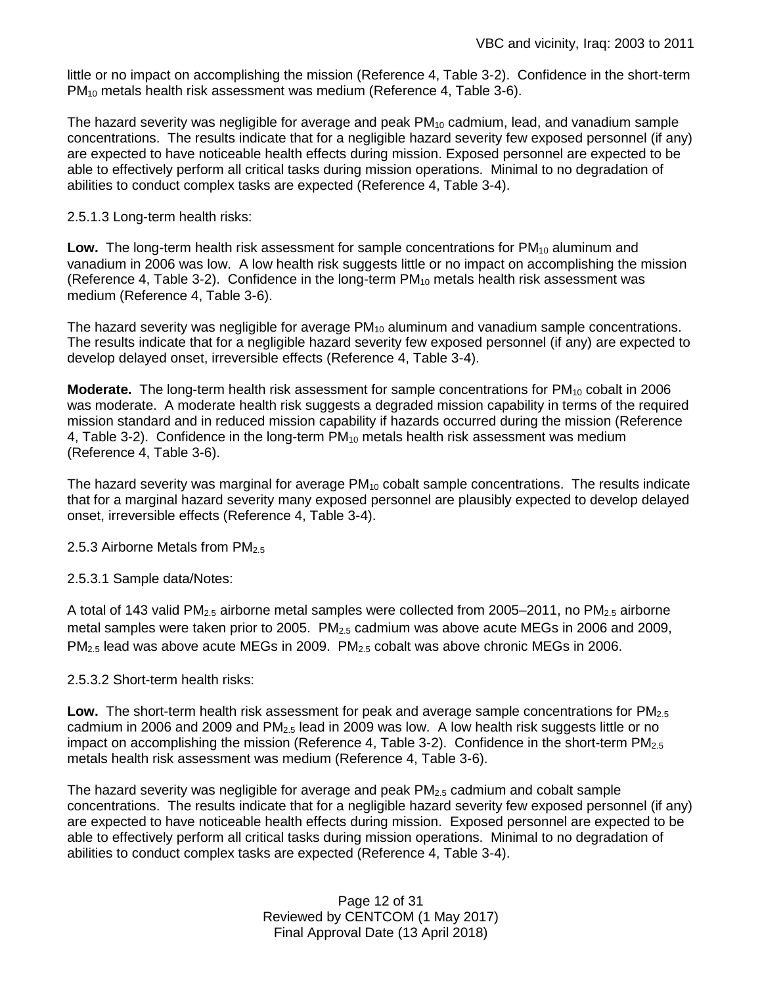little or no impact on accomplishing the mission (Reference 4, Table 3-2). Confidence in the short-term PM<sup>10</sup> metals health risk assessment was medium (Reference 4, Table 3-6).

The hazard severity was negligible for average and peak  $PM_{10}$  cadmium, lead, and vanadium sample concentrations. The results indicate that for a negligible hazard severity few exposed personnel (if any) are expected to have noticeable health effects during mission. Exposed personnel are expected to be able to effectively perform all critical tasks during mission operations. Minimal to no degradation of abilities to conduct complex tasks are expected (Reference 4, Table 3-4).

2.5.1.3 Long-term health risks:

**Low.** The long-term health risk assessment for sample concentrations for PM<sub>10</sub> aluminum and vanadium in 2006 was low. A low health risk suggests little or no impact on accomplishing the mission (Reference 4, Table 3-2). Confidence in the long-term  $PM_{10}$  metals health risk assessment was medium (Reference 4, Table 3-6).

The hazard severity was negligible for average  $PM_{10}$  aluminum and vanadium sample concentrations. The results indicate that for a negligible hazard severity few exposed personnel (if any) are expected to develop delayed onset, irreversible effects (Reference 4, Table 3-4).

**Moderate.** The long-term health risk assessment for sample concentrations for PM<sub>10</sub> cobalt in 2006 was moderate. A moderate health risk suggests a degraded mission capability in terms of the required mission standard and in reduced mission capability if hazards occurred during the mission (Reference 4, Table 3-2). Confidence in the long-term  $PM_{10}$  metals health risk assessment was medium (Reference 4, Table 3-6).

The hazard severity was marginal for average  $PM_{10}$  cobalt sample concentrations. The results indicate that for a marginal hazard severity many exposed personnel are plausibly expected to develop delayed onset, irreversible effects (Reference 4, Table 3-4).

2.5.3 Airborne Metals from  $PM<sub>2.5</sub>$ 

2.5.3.1 Sample data/Notes:

A total of 143 valid PM<sub>2.5</sub> airborne metal samples were collected from 2005–2011, no PM<sub>2.5</sub> airborne metal samples were taken prior to 2005.  $PM_{2.5}$  cadmium was above acute MEGs in 2006 and 2009, PM2.5 lead was above acute MEGs in 2009. PM2.5 cobalt was above chronic MEGs in 2006.

2.5.3.2 Short-term health risks:

**Low.** The short-term health risk assessment for peak and average sample concentrations for PM<sub>2.5</sub> cadmium in 2006 and 2009 and  $PM<sub>2.5</sub>$  lead in 2009 was low. A low health risk suggests little or no impact on accomplishing the mission (Reference 4, Table 3-2). Confidence in the short-term  $PM_{2.5}$ metals health risk assessment was medium (Reference 4, Table 3-6).

The hazard severity was negligible for average and peak  $PM_{2.5}$  cadmium and cobalt sample concentrations. The results indicate that for a negligible hazard severity few exposed personnel (if any) are expected to have noticeable health effects during mission. Exposed personnel are expected to be able to effectively perform all critical tasks during mission operations. Minimal to no degradation of abilities to conduct complex tasks are expected (Reference 4, Table 3-4).

> Page 12 of 31 Reviewed by CENTCOM (1 May 2017) Final Approval Date (13 April 2018)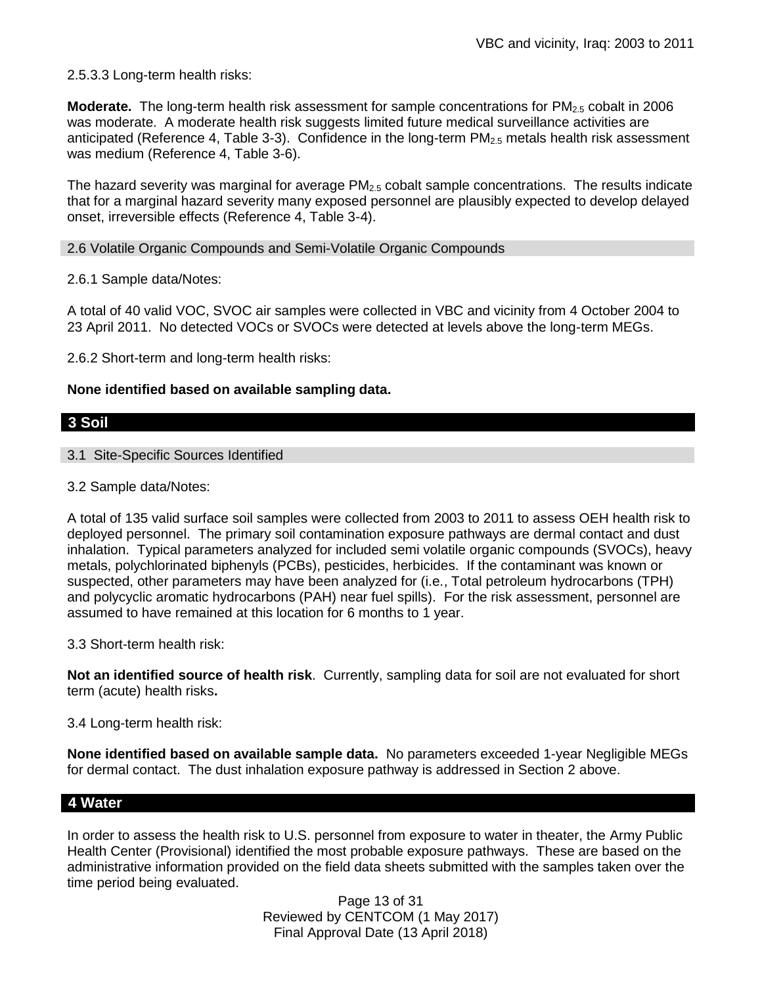2.5.3.3 Long-term health risks:

**Moderate.** The long-term health risk assessment for sample concentrations for PM<sub>2.5</sub> cobalt in 2006 was moderate. A moderate health risk suggests limited future medical surveillance activities are anticipated (Reference 4, Table 3-3). Confidence in the long-term  $PM_{2.5}$  metals health risk assessment was medium (Reference 4, Table 3-6).

The hazard severity was marginal for average  $PM<sub>2.5</sub>$  cobalt sample concentrations. The results indicate that for a marginal hazard severity many exposed personnel are plausibly expected to develop delayed onset, irreversible effects (Reference 4, Table 3-4).

2.6 Volatile Organic Compounds and Semi-Volatile Organic Compounds

2.6.1 Sample data/Notes:

A total of 40 valid VOC, SVOC air samples were collected in VBC and vicinity from 4 October 2004 to 23 April 2011. No detected VOCs or SVOCs were detected at levels above the long-term MEGs.

2.6.2 Short-term and long-term health risks:

### **None identified based on available sampling data.**

### **3 Soil**

- 3.1 Site-Specific Sources Identified
- 3.2 Sample data/Notes:

A total of 135 valid surface soil samples were collected from 2003 to 2011 to assess OEH health risk to deployed personnel. The primary soil contamination exposure pathways are dermal contact and dust inhalation. Typical parameters analyzed for included semi volatile organic compounds (SVOCs), heavy metals, polychlorinated biphenyls (PCBs), pesticides, herbicides. If the contaminant was known or suspected, other parameters may have been analyzed for (i.e., Total petroleum hydrocarbons (TPH) and polycyclic aromatic hydrocarbons (PAH) near fuel spills). For the risk assessment, personnel are assumed to have remained at this location for 6 months to 1 year.

3.3 Short-term health risk:

**Not an identified source of health risk**. Currently, sampling data for soil are not evaluated for short term (acute) health risks**.**

### 3.4 Long-term health risk:

**None identified based on available sample data.** No parameters exceeded 1-year Negligible MEGs for dermal contact. The dust inhalation exposure pathway is addressed in Section 2 above.

# **4 Water**

In order to assess the health risk to U.S. personnel from exposure to water in theater, the Army Public Health Center (Provisional) identified the most probable exposure pathways. These are based on the administrative information provided on the field data sheets submitted with the samples taken over the time period being evaluated.

> Page 13 of 31 Reviewed by CENTCOM (1 May 2017) Final Approval Date (13 April 2018)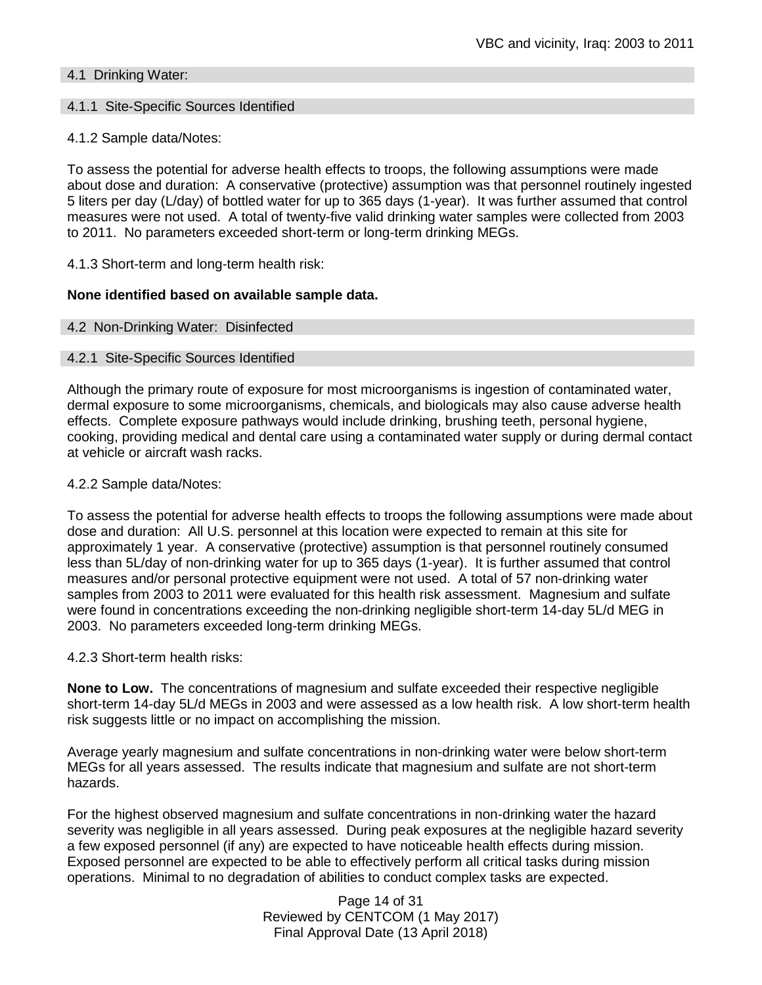# 4.1 Drinking Water:

### 4.1.1 Site-Specific Sources Identified

### 4.1.2 Sample data/Notes:

To assess the potential for adverse health effects to troops, the following assumptions were made about dose and duration: A conservative (protective) assumption was that personnel routinely ingested 5 liters per day (L/day) of bottled water for up to 365 days (1-year). It was further assumed that control measures were not used. A total of twenty-five valid drinking water samples were collected from 2003 to 2011. No parameters exceeded short-term or long-term drinking MEGs.

### 4.1.3 Short-term and long-term health risk:

### **None identified based on available sample data.**

### 4.2 Non-Drinking Water: Disinfected

### 4.2.1 Site-Specific Sources Identified

Although the primary route of exposure for most microorganisms is ingestion of contaminated water, dermal exposure to some microorganisms, chemicals, and biologicals may also cause adverse health effects. Complete exposure pathways would include drinking, brushing teeth, personal hygiene, cooking, providing medical and dental care using a contaminated water supply or during dermal contact at vehicle or aircraft wash racks.

### 4.2.2 Sample data/Notes:

To assess the potential for adverse health effects to troops the following assumptions were made about dose and duration: All U.S. personnel at this location were expected to remain at this site for approximately 1 year. A conservative (protective) assumption is that personnel routinely consumed less than 5L/day of non-drinking water for up to 365 days (1-year). It is further assumed that control measures and/or personal protective equipment were not used. A total of 57 non-drinking water samples from 2003 to 2011 were evaluated for this health risk assessment. Magnesium and sulfate were found in concentrations exceeding the non-drinking negligible short-term 14-day 5L/d MEG in 2003. No parameters exceeded long-term drinking MEGs.

### 4.2.3 Short-term health risks:

**None to Low.** The concentrations of magnesium and sulfate exceeded their respective negligible short-term 14-day 5L/d MEGs in 2003 and were assessed as a low health risk. A low short-term health risk suggests little or no impact on accomplishing the mission.

Average yearly magnesium and sulfate concentrations in non-drinking water were below short-term MEGs for all years assessed. The results indicate that magnesium and sulfate are not short-term hazards.

For the highest observed magnesium and sulfate concentrations in non-drinking water the hazard severity was negligible in all years assessed. During peak exposures at the negligible hazard severity a few exposed personnel (if any) are expected to have noticeable health effects during mission. Exposed personnel are expected to be able to effectively perform all critical tasks during mission operations. Minimal to no degradation of abilities to conduct complex tasks are expected.

> Page 14 of 31 Reviewed by CENTCOM (1 May 2017) Final Approval Date (13 April 2018)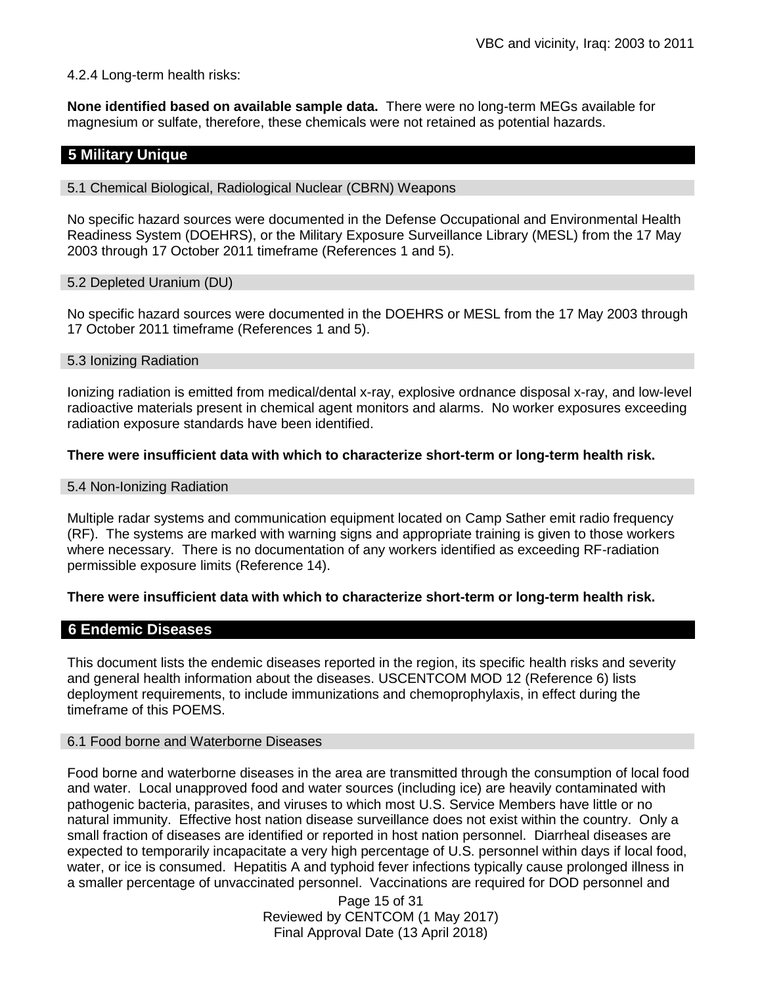### 4.2.4 Long-term health risks:

**None identified based on available sample data.** There were no long-term MEGs available for magnesium or sulfate, therefore, these chemicals were not retained as potential hazards.

### **5 Military Unique**

### 5.1 Chemical Biological, Radiological Nuclear (CBRN) Weapons

No specific hazard sources were documented in the Defense Occupational and Environmental Health Readiness System (DOEHRS), or the Military Exposure Surveillance Library (MESL) from the 17 May 2003 through 17 October 2011 timeframe (References 1 and 5).

#### 5.2 Depleted Uranium (DU)

No specific hazard sources were documented in the DOEHRS or MESL from the 17 May 2003 through 17 October 2011 timeframe (References 1 and 5).

#### 5.3 Ionizing Radiation

Ionizing radiation is emitted from medical/dental x-ray, explosive ordnance disposal x-ray, and low-level radioactive materials present in chemical agent monitors and alarms. No worker exposures exceeding radiation exposure standards have been identified.

### **There were insufficient data with which to characterize short-term or long-term health risk.**

#### 5.4 Non-Ionizing Radiation

Multiple radar systems and communication equipment located on Camp Sather emit radio frequency (RF). The systems are marked with warning signs and appropriate training is given to those workers where necessary. There is no documentation of any workers identified as exceeding RF-radiation permissible exposure limits (Reference 14).

### **There were insufficient data with which to characterize short-term or long-term health risk.**

### **6 Endemic Diseases**

This document lists the endemic diseases reported in the region, its specific health risks and severity and general health information about the diseases. USCENTCOM MOD 12 (Reference 6) lists deployment requirements, to include immunizations and chemoprophylaxis, in effect during the timeframe of this POEMS.

### 6.1 Food borne and Waterborne Diseases

Food borne and waterborne diseases in the area are transmitted through the consumption of local food and water. Local unapproved food and water sources (including ice) are heavily contaminated with pathogenic bacteria, parasites, and viruses to which most U.S. Service Members have little or no natural immunity. Effective host nation disease surveillance does not exist within the country. Only a small fraction of diseases are identified or reported in host nation personnel. Diarrheal diseases are expected to temporarily incapacitate a very high percentage of U.S. personnel within days if local food, water, or ice is consumed. Hepatitis A and typhoid fever infections typically cause prolonged illness in a smaller percentage of unvaccinated personnel. Vaccinations are required for DOD personnel and

> Page 15 of 31 Reviewed by CENTCOM (1 May 2017) Final Approval Date (13 April 2018)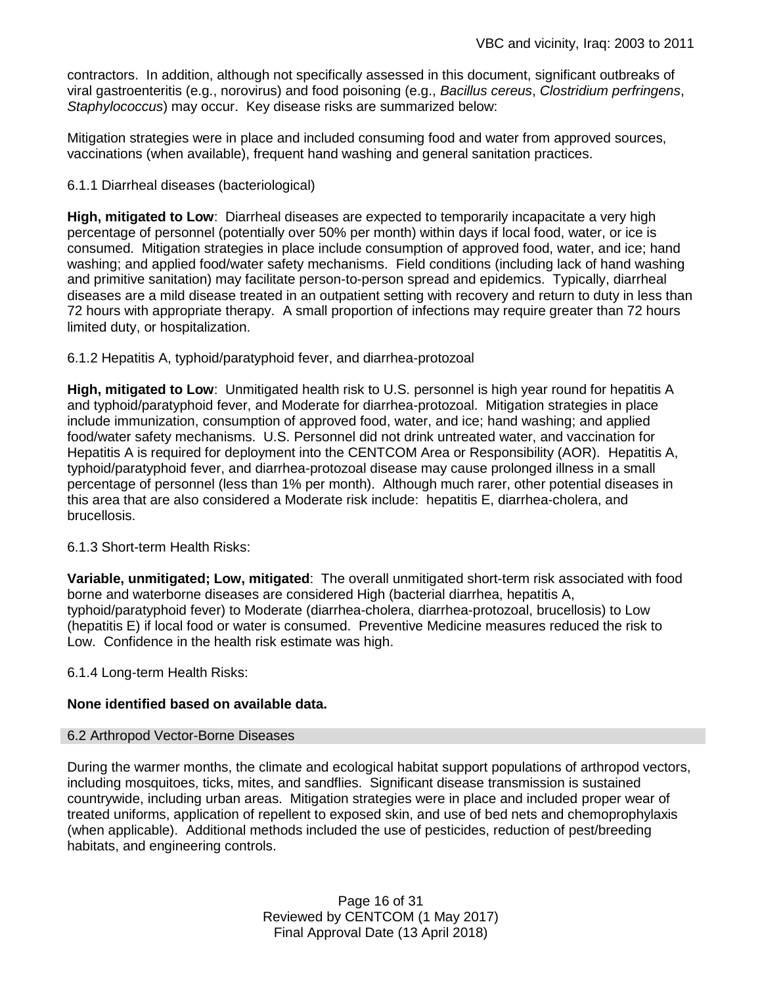contractors. In addition, although not specifically assessed in this document, significant outbreaks of viral gastroenteritis (e.g., norovirus) and food poisoning (e.g., *Bacillus cereus*, *Clostridium perfringens*, *Staphylococcus*) may occur. Key disease risks are summarized below:

Mitigation strategies were in place and included consuming food and water from approved sources, vaccinations (when available), frequent hand washing and general sanitation practices.

### 6.1.1 Diarrheal diseases (bacteriological)

**High, mitigated to Low**: Diarrheal diseases are expected to temporarily incapacitate a very high percentage of personnel (potentially over 50% per month) within days if local food, water, or ice is consumed. Mitigation strategies in place include consumption of approved food, water, and ice; hand washing; and applied food/water safety mechanisms. Field conditions (including lack of hand washing and primitive sanitation) may facilitate person-to-person spread and epidemics. Typically, diarrheal diseases are a mild disease treated in an outpatient setting with recovery and return to duty in less than 72 hours with appropriate therapy. A small proportion of infections may require greater than 72 hours limited duty, or hospitalization.

### 6.1.2 Hepatitis A, typhoid/paratyphoid fever, and diarrhea-protozoal

**High, mitigated to Low**: Unmitigated health risk to U.S. personnel is high year round for hepatitis A and typhoid/paratyphoid fever, and Moderate for diarrhea-protozoal. Mitigation strategies in place include immunization, consumption of approved food, water, and ice; hand washing; and applied food/water safety mechanisms. U.S. Personnel did not drink untreated water, and vaccination for Hepatitis A is required for deployment into the CENTCOM Area or Responsibility (AOR). Hepatitis A, typhoid/paratyphoid fever, and diarrhea-protozoal disease may cause prolonged illness in a small percentage of personnel (less than 1% per month). Although much rarer, other potential diseases in this area that are also considered a Moderate risk include: hepatitis E, diarrhea-cholera, and brucellosis.

### 6.1.3 Short-term Health Risks:

**Variable, unmitigated; Low, mitigated**: The overall unmitigated short-term risk associated with food borne and waterborne diseases are considered High (bacterial diarrhea, hepatitis A, typhoid/paratyphoid fever) to Moderate (diarrhea-cholera, diarrhea-protozoal, brucellosis) to Low (hepatitis E) if local food or water is consumed. Preventive Medicine measures reduced the risk to Low. Confidence in the health risk estimate was high.

6.1.4 Long-term Health Risks:

# **None identified based on available data.**

### 6.2 Arthropod Vector-Borne Diseases

During the warmer months, the climate and ecological habitat support populations of arthropod vectors, including mosquitoes, ticks, mites, and sandflies. Significant disease transmission is sustained countrywide, including urban areas. Mitigation strategies were in place and included proper wear of treated uniforms, application of repellent to exposed skin, and use of bed nets and chemoprophylaxis (when applicable). Additional methods included the use of pesticides, reduction of pest/breeding habitats, and engineering controls.

> Page 16 of 31 Reviewed by CENTCOM (1 May 2017) Final Approval Date (13 April 2018)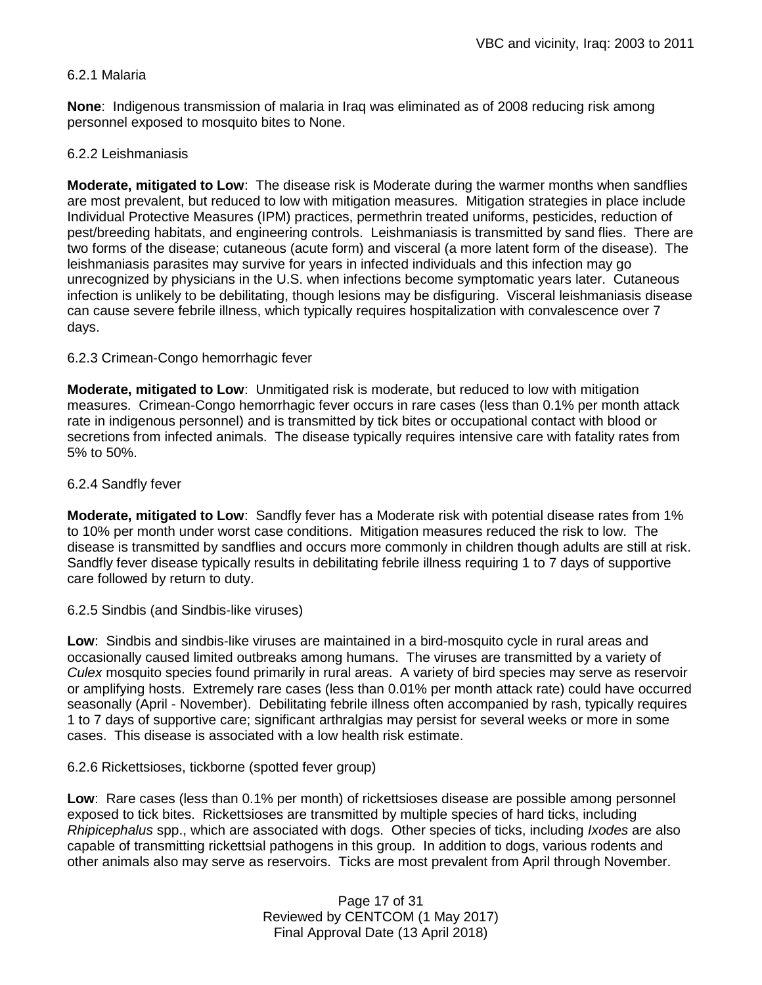### 6.2.1 Malaria

**None**: Indigenous transmission of malaria in Iraq was eliminated as of 2008 reducing risk among personnel exposed to mosquito bites to None.

### 6.2.2 Leishmaniasis

**Moderate, mitigated to Low**: The disease risk is Moderate during the warmer months when sandflies are most prevalent, but reduced to low with mitigation measures. Mitigation strategies in place include Individual Protective Measures (IPM) practices, permethrin treated uniforms, pesticides, reduction of pest/breeding habitats, and engineering controls. Leishmaniasis is transmitted by sand flies. There are two forms of the disease; cutaneous (acute form) and visceral (a more latent form of the disease). The leishmaniasis parasites may survive for years in infected individuals and this infection may go unrecognized by physicians in the U.S. when infections become symptomatic years later. Cutaneous infection is unlikely to be debilitating, though lesions may be disfiguring. Visceral leishmaniasis disease can cause severe febrile illness, which typically requires hospitalization with convalescence over 7 days.

### 6.2.3 Crimean-Congo hemorrhagic fever

**Moderate, mitigated to Low**: Unmitigated risk is moderate, but reduced to low with mitigation measures. Crimean-Congo hemorrhagic fever occurs in rare cases (less than 0.1% per month attack rate in indigenous personnel) and is transmitted by tick bites or occupational contact with blood or secretions from infected animals. The disease typically requires intensive care with fatality rates from 5% to 50%.

### 6.2.4 Sandfly fever

**Moderate, mitigated to Low**: Sandfly fever has a Moderate risk with potential disease rates from 1% to 10% per month under worst case conditions. Mitigation measures reduced the risk to low. The disease is transmitted by sandflies and occurs more commonly in children though adults are still at risk. Sandfly fever disease typically results in debilitating febrile illness requiring 1 to 7 days of supportive care followed by return to duty.

### 6.2.5 Sindbis (and Sindbis-like viruses)

**Low**: Sindbis and sindbis-like viruses are maintained in a bird-mosquito cycle in rural areas and occasionally caused limited outbreaks among humans. The viruses are transmitted by a variety of *Culex* mosquito species found primarily in rural areas. A variety of bird species may serve as reservoir or amplifying hosts. Extremely rare cases (less than 0.01% per month attack rate) could have occurred seasonally (April - November). Debilitating febrile illness often accompanied by rash, typically requires 1 to 7 days of supportive care; significant arthralgias may persist for several weeks or more in some cases. This disease is associated with a low health risk estimate.

### 6.2.6 Rickettsioses, tickborne (spotted fever group)

**Low**: Rare cases (less than 0.1% per month) of rickettsioses disease are possible among personnel exposed to tick bites. Rickettsioses are transmitted by multiple species of hard ticks, including *Rhipicephalus* spp., which are associated with dogs. Other species of ticks, including *Ixodes* are also capable of transmitting rickettsial pathogens in this group. In addition to dogs, various rodents and other animals also may serve as reservoirs. Ticks are most prevalent from April through November.

> Page 17 of 31 Reviewed by CENTCOM (1 May 2017) Final Approval Date (13 April 2018)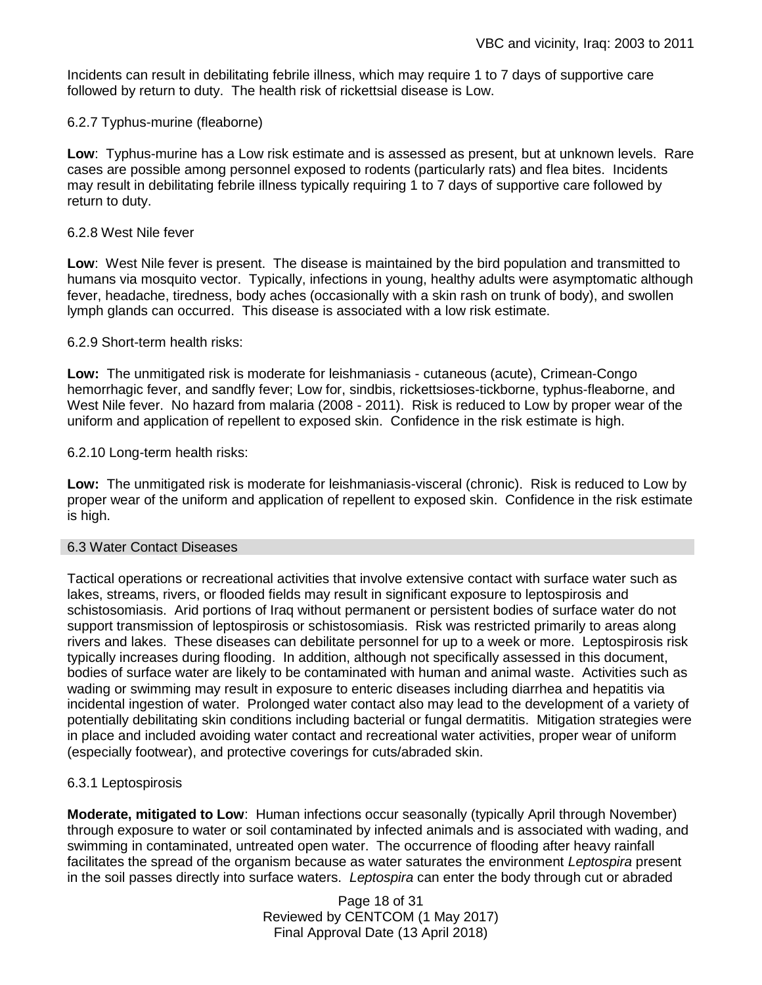Incidents can result in debilitating febrile illness, which may require 1 to 7 days of supportive care followed by return to duty. The health risk of rickettsial disease is Low.

### 6.2.7 Typhus-murine (fleaborne)

**Low**: Typhus-murine has a Low risk estimate and is assessed as present, but at unknown levels. Rare cases are possible among personnel exposed to rodents (particularly rats) and flea bites. Incidents may result in debilitating febrile illness typically requiring 1 to 7 days of supportive care followed by return to duty.

#### 6.2.8 West Nile fever

**Low**: West Nile fever is present. The disease is maintained by the bird population and transmitted to humans via mosquito vector. Typically, infections in young, healthy adults were asymptomatic although fever, headache, tiredness, body aches (occasionally with a skin rash on trunk of body), and swollen lymph glands can occurred. This disease is associated with a low risk estimate.

### 6.2.9 Short-term health risks:

**Low:** The unmitigated risk is moderate for leishmaniasis - cutaneous (acute), Crimean-Congo hemorrhagic fever, and sandfly fever; Low for, sindbis, rickettsioses-tickborne, typhus-fleaborne, and West Nile fever. No hazard from malaria (2008 - 2011). Risk is reduced to Low by proper wear of the uniform and application of repellent to exposed skin. Confidence in the risk estimate is high.

### 6.2.10 Long-term health risks:

**Low:** The unmitigated risk is moderate for leishmaniasis-visceral (chronic). Risk is reduced to Low by proper wear of the uniform and application of repellent to exposed skin. Confidence in the risk estimate is high.

### 6.3 Water Contact Diseases

Tactical operations or recreational activities that involve extensive contact with surface water such as lakes, streams, rivers, or flooded fields may result in significant exposure to leptospirosis and schistosomiasis. Arid portions of Iraq without permanent or persistent bodies of surface water do not support transmission of leptospirosis or schistosomiasis. Risk was restricted primarily to areas along rivers and lakes. These diseases can debilitate personnel for up to a week or more. Leptospirosis risk typically increases during flooding. In addition, although not specifically assessed in this document, bodies of surface water are likely to be contaminated with human and animal waste. Activities such as wading or swimming may result in exposure to enteric diseases including diarrhea and hepatitis via incidental ingestion of water. Prolonged water contact also may lead to the development of a variety of potentially debilitating skin conditions including bacterial or fungal dermatitis. Mitigation strategies were in place and included avoiding water contact and recreational water activities, proper wear of uniform (especially footwear), and protective coverings for cuts/abraded skin.

### 6.3.1 Leptospirosis

**Moderate, mitigated to Low**: Human infections occur seasonally (typically April through November) through exposure to water or soil contaminated by infected animals and is associated with wading, and swimming in contaminated, untreated open water. The occurrence of flooding after heavy rainfall facilitates the spread of the organism because as water saturates the environment *Leptospira* present in the soil passes directly into surface waters. *Leptospira* can enter the body through cut or abraded

> Page 18 of 31 Reviewed by CENTCOM (1 May 2017) Final Approval Date (13 April 2018)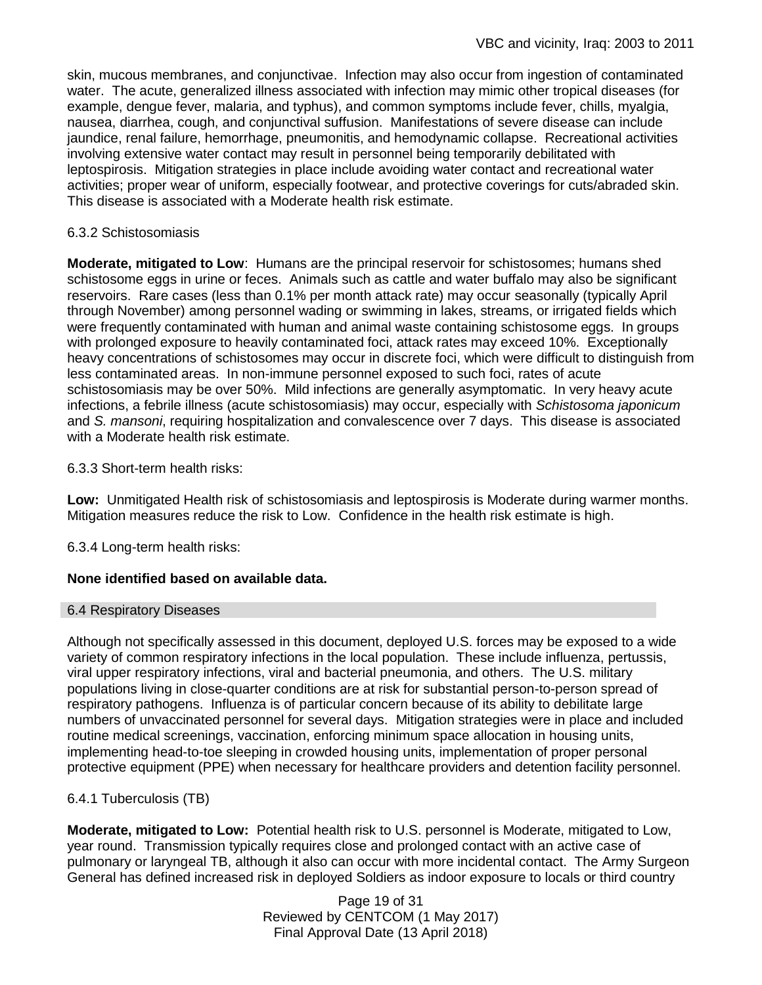skin, mucous membranes, and conjunctivae. Infection may also occur from ingestion of contaminated water. The acute, generalized illness associated with infection may mimic other tropical diseases (for example, dengue fever, malaria, and typhus), and common symptoms include fever, chills, myalgia, nausea, diarrhea, cough, and conjunctival suffusion. Manifestations of severe disease can include jaundice, renal failure, hemorrhage, pneumonitis, and hemodynamic collapse. Recreational activities involving extensive water contact may result in personnel being temporarily debilitated with leptospirosis. Mitigation strategies in place include avoiding water contact and recreational water activities; proper wear of uniform, especially footwear, and protective coverings for cuts/abraded skin. This disease is associated with a Moderate health risk estimate.

### 6.3.2 Schistosomiasis

**Moderate, mitigated to Low**: Humans are the principal reservoir for schistosomes; humans shed schistosome eggs in urine or feces. Animals such as cattle and water buffalo may also be significant reservoirs. Rare cases (less than 0.1% per month attack rate) may occur seasonally (typically April through November) among personnel wading or swimming in lakes, streams, or irrigated fields which were frequently contaminated with human and animal waste containing schistosome eggs. In groups with prolonged exposure to heavily contaminated foci, attack rates may exceed 10%. Exceptionally heavy concentrations of schistosomes may occur in discrete foci, which were difficult to distinguish from less contaminated areas. In non-immune personnel exposed to such foci, rates of acute schistosomiasis may be over 50%. Mild infections are generally asymptomatic. In very heavy acute infections, a febrile illness (acute schistosomiasis) may occur, especially with *Schistosoma japonicum*  and *S. mansoni*, requiring hospitalization and convalescence over 7 days. This disease is associated with a Moderate health risk estimate.

### 6.3.3 Short-term health risks:

**Low:** Unmitigated Health risk of schistosomiasis and leptospirosis is Moderate during warmer months. Mitigation measures reduce the risk to Low. Confidence in the health risk estimate is high.

# 6.3.4 Long-term health risks:

# **None identified based on available data.**

### 6.4 Respiratory Diseases

Although not specifically assessed in this document, deployed U.S. forces may be exposed to a wide variety of common respiratory infections in the local population. These include influenza, pertussis, viral upper respiratory infections, viral and bacterial pneumonia, and others. The U.S. military populations living in close-quarter conditions are at risk for substantial person-to-person spread of respiratory pathogens. Influenza is of particular concern because of its ability to debilitate large numbers of unvaccinated personnel for several days. Mitigation strategies were in place and included routine medical screenings, vaccination, enforcing minimum space allocation in housing units, implementing head-to-toe sleeping in crowded housing units, implementation of proper personal protective equipment (PPE) when necessary for healthcare providers and detention facility personnel.

### 6.4.1 Tuberculosis (TB)

**Moderate, mitigated to Low:** Potential health risk to U.S. personnel is Moderate, mitigated to Low, year round. Transmission typically requires close and prolonged contact with an active case of pulmonary or laryngeal TB, although it also can occur with more incidental contact. The Army Surgeon General has defined increased risk in deployed Soldiers as indoor exposure to locals or third country

> Page 19 of 31 Reviewed by CENTCOM (1 May 2017) Final Approval Date (13 April 2018)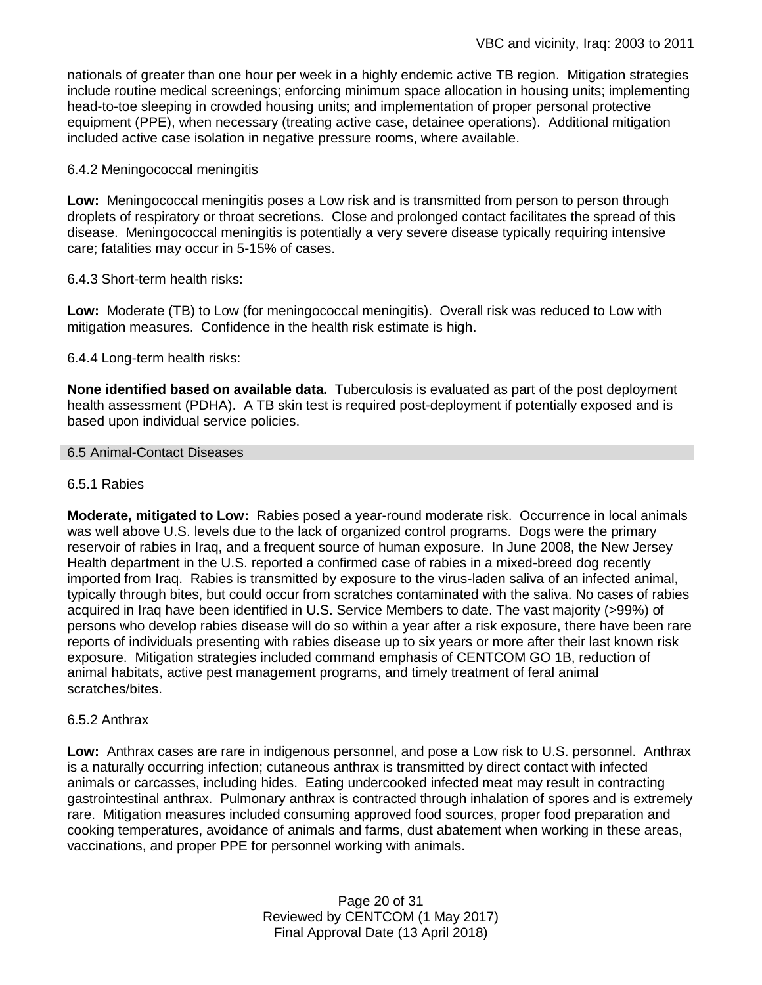nationals of greater than one hour per week in a highly endemic active TB region. Mitigation strategies include routine medical screenings; enforcing minimum space allocation in housing units; implementing head-to-toe sleeping in crowded housing units; and implementation of proper personal protective equipment (PPE), when necessary (treating active case, detainee operations). Additional mitigation included active case isolation in negative pressure rooms, where available.

### 6.4.2 Meningococcal meningitis

**Low:** Meningococcal meningitis poses a Low risk and is transmitted from person to person through droplets of respiratory or throat secretions. Close and prolonged contact facilitates the spread of this disease. Meningococcal meningitis is potentially a very severe disease typically requiring intensive care; fatalities may occur in 5-15% of cases.

### 6.4.3 Short-term health risks:

**Low:** Moderate (TB) to Low (for meningococcal meningitis). Overall risk was reduced to Low with mitigation measures. Confidence in the health risk estimate is high.

### 6.4.4 Long-term health risks:

**None identified based on available data.** Tuberculosis is evaluated as part of the post deployment health assessment (PDHA). A TB skin test is required post-deployment if potentially exposed and is based upon individual service policies.

### 6.5 Animal-Contact Diseases

### 6.5.1 Rabies

**Moderate, mitigated to Low:** Rabies posed a year-round moderate risk. Occurrence in local animals was well above U.S. levels due to the lack of organized control programs. Dogs were the primary reservoir of rabies in Iraq, and a frequent source of human exposure. In June 2008, the New Jersey Health department in the U.S. reported a confirmed case of rabies in a mixed-breed dog recently imported from Iraq. Rabies is transmitted by exposure to the virus-laden saliva of an infected animal, typically through bites, but could occur from scratches contaminated with the saliva. No cases of rabies acquired in Iraq have been identified in U.S. Service Members to date. The vast majority (>99%) of persons who develop rabies disease will do so within a year after a risk exposure, there have been rare reports of individuals presenting with rabies disease up to six years or more after their last known risk exposure. Mitigation strategies included command emphasis of CENTCOM GO 1B, reduction of animal habitats, active pest management programs, and timely treatment of feral animal scratches/bites.

### 6.5.2 Anthrax

**Low:** Anthrax cases are rare in indigenous personnel, and pose a Low risk to U.S. personnel. Anthrax is a naturally occurring infection; cutaneous anthrax is transmitted by direct contact with infected animals or carcasses, including hides. Eating undercooked infected meat may result in contracting gastrointestinal anthrax. Pulmonary anthrax is contracted through inhalation of spores and is extremely rare. Mitigation measures included consuming approved food sources, proper food preparation and cooking temperatures, avoidance of animals and farms, dust abatement when working in these areas, vaccinations, and proper PPE for personnel working with animals.

> Page 20 of 31 Reviewed by CENTCOM (1 May 2017) Final Approval Date (13 April 2018)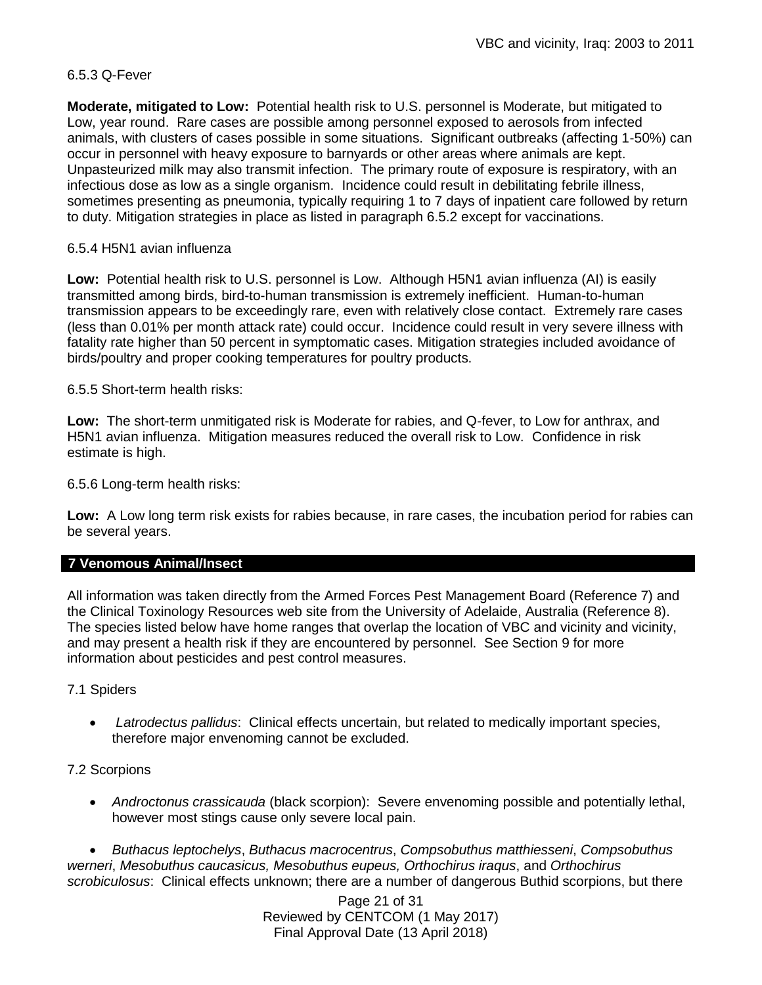### 6.5.3 Q-Fever

**Moderate, mitigated to Low:** Potential health risk to U.S. personnel is Moderate, but mitigated to Low, year round. Rare cases are possible among personnel exposed to aerosols from infected animals, with clusters of cases possible in some situations. Significant outbreaks (affecting 1-50%) can occur in personnel with heavy exposure to barnyards or other areas where animals are kept. Unpasteurized milk may also transmit infection. The primary route of exposure is respiratory, with an infectious dose as low as a single organism. Incidence could result in debilitating febrile illness, sometimes presenting as pneumonia, typically requiring 1 to 7 days of inpatient care followed by return to duty. Mitigation strategies in place as listed in paragraph 6.5.2 except for vaccinations.

### 6.5.4 H5N1 avian influenza

**Low:** Potential health risk to U.S. personnel is Low. Although H5N1 avian influenza (AI) is easily transmitted among birds, bird-to-human transmission is extremely inefficient. Human-to-human transmission appears to be exceedingly rare, even with relatively close contact. Extremely rare cases (less than 0.01% per month attack rate) could occur. Incidence could result in very severe illness with fatality rate higher than 50 percent in symptomatic cases. Mitigation strategies included avoidance of birds/poultry and proper cooking temperatures for poultry products.

6.5.5 Short-term health risks:

**Low:** The short-term unmitigated risk is Moderate for rabies, and Q-fever, to Low for anthrax, and H5N1 avian influenza. Mitigation measures reduced the overall risk to Low.Confidence in risk estimate is high.

6.5.6 Long-term health risks:

**Low:** A Low long term risk exists for rabies because, in rare cases, the incubation period for rabies can be several years.

# **7 Venomous Animal/Insect**

All information was taken directly from the Armed Forces Pest Management Board (Reference 7) and the Clinical Toxinology Resources web site from the University of Adelaide, Australia (Reference 8). The species listed below have home ranges that overlap the location of VBC and vicinity and vicinity, and may present a health risk if they are encountered by personnel. See Section 9 for more information about pesticides and pest control measures.

### 7.1 Spiders

 *Latrodectus pallidus*: Clinical effects uncertain, but related to medically important species, therefore major envenoming cannot be excluded.

# 7.2 Scorpions

 *Androctonus crassicauda* (black scorpion): Severe envenoming possible and potentially lethal, however most stings cause only severe local pain.

 *Buthacus leptochelys*, *Buthacus macrocentrus*, *Compsobuthus matthiesseni*, *Compsobuthus werneri*, *Mesobuthus caucasicus, Mesobuthus eupeus, Orthochirus iraqus*, and *Orthochirus scrobiculosus*: Clinical effects unknown; there are a number of dangerous Buthid scorpions, but there

> Page 21 of 31 Reviewed by CENTCOM (1 May 2017) Final Approval Date (13 April 2018)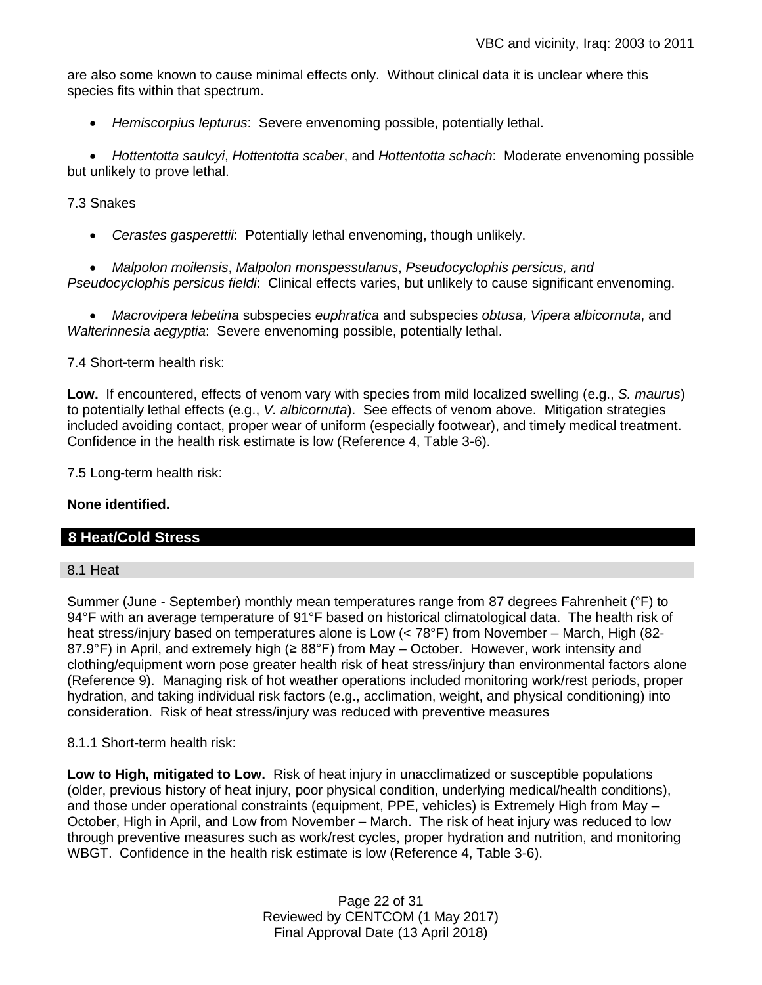are also some known to cause minimal effects only. Without clinical data it is unclear where this species fits within that spectrum.

*Hemiscorpius lepturus*: Severe envenoming possible, potentially lethal.

 *Hottentotta saulcyi*, *Hottentotta scaber*, and *Hottentotta schach*: Moderate envenoming possible but unlikely to prove lethal.

7.3 Snakes

*Cerastes gasperettii*: Potentially lethal envenoming, though unlikely.

 *Malpolon moilensis*, *Malpolon monspessulanus*, *Pseudocyclophis persicus, and Pseudocyclophis persicus fieldi*: Clinical effects varies, but unlikely to cause significant envenoming.

 *Macrovipera lebetina* subspecies *euphratica* and subspecies *obtusa, Vipera albicornuta*, and *Walterinnesia aegyptia*: Severe envenoming possible, potentially lethal.

7.4 Short-term health risk:

**Low.** If encountered, effects of venom vary with species from mild localized swelling (e.g., *S. maurus*) to potentially lethal effects (e.g., *V. albicornuta*). See effects of venom above. Mitigation strategies included avoiding contact, proper wear of uniform (especially footwear), and timely medical treatment. Confidence in the health risk estimate is low (Reference 4, Table 3-6).

7.5 Long-term health risk:

#### **None identified.**

### **8 Heat/Cold Stress**

#### 8.1 Heat

Summer (June - September) monthly mean temperatures range from 87 degrees Fahrenheit (°F) to 94°F with an average temperature of 91°F based on historical climatological data. The health risk of heat stress/injury based on temperatures alone is Low (< 78°F) from November – March, High (82- 87.9°F) in April, and extremely high (≥ 88°F) from May – October. However, work intensity and clothing/equipment worn pose greater health risk of heat stress/injury than environmental factors alone (Reference 9). Managing risk of hot weather operations included monitoring work/rest periods, proper hydration, and taking individual risk factors (e.g., acclimation, weight, and physical conditioning) into consideration. Risk of heat stress/injury was reduced with preventive measures

#### 8.1.1 Short-term health risk:

**Low to High, mitigated to Low.** Risk of heat injury in unacclimatized or susceptible populations (older, previous history of heat injury, poor physical condition, underlying medical/health conditions), and those under operational constraints (equipment, PPE, vehicles) is Extremely High from May – October, High in April, and Low from November – March. The risk of heat injury was reduced to low through preventive measures such as work/rest cycles, proper hydration and nutrition, and monitoring WBGT. Confidence in the health risk estimate is low (Reference 4, Table 3-6).

> Page 22 of 31 Reviewed by CENTCOM (1 May 2017) Final Approval Date (13 April 2018)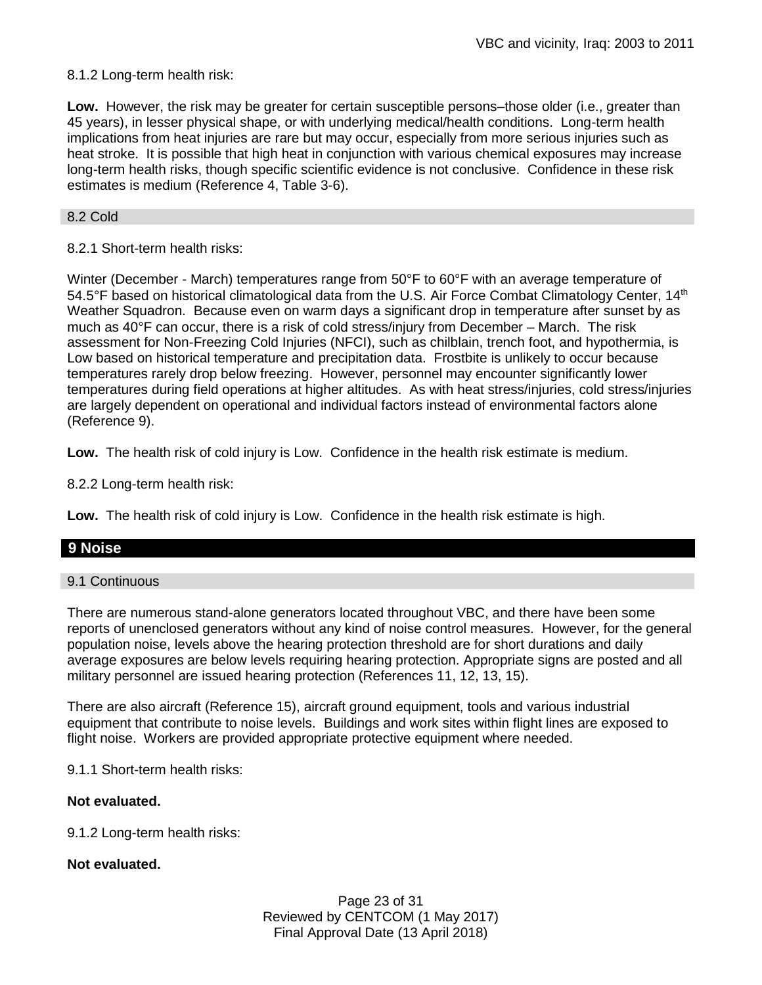### 8.1.2 Long-term health risk:

**Low.** However, the risk may be greater for certain susceptible persons–those older (i.e., greater than 45 years), in lesser physical shape, or with underlying medical/health conditions. Long-term health implications from heat injuries are rare but may occur, especially from more serious injuries such as heat stroke. It is possible that high heat in conjunction with various chemical exposures may increase long-term health risks, though specific scientific evidence is not conclusive. Confidence in these risk estimates is medium (Reference 4, Table 3-6).

### 8.2 Cold

### 8.2.1 Short-term health risks:

Winter (December - March) temperatures range from 50°F to 60°F with an average temperature of 54.5°F based on historical climatological data from the U.S. Air Force Combat Climatology Center, 14th Weather Squadron. Because even on warm days a significant drop in temperature after sunset by as much as 40°F can occur, there is a risk of cold stress/injury from December – March. The risk assessment for Non-Freezing Cold Injuries (NFCI), such as chilblain, trench foot, and hypothermia, is Low based on historical temperature and precipitation data. Frostbite is unlikely to occur because temperatures rarely drop below freezing. However, personnel may encounter significantly lower temperatures during field operations at higher altitudes. As with heat stress/injuries, cold stress/injuries are largely dependent on operational and individual factors instead of environmental factors alone (Reference 9).

**Low.** The health risk of cold injury is Low. Confidence in the health risk estimate is medium.

8.2.2 Long-term health risk:

**Low.** The health risk of cold injury is Low. Confidence in the health risk estimate is high.

# **9 Noise**

### 9.1 Continuous

There are numerous stand-alone generators located throughout VBC, and there have been some reports of unenclosed generators without any kind of noise control measures. However, for the general population noise, levels above the hearing protection threshold are for short durations and daily average exposures are below levels requiring hearing protection. Appropriate signs are posted and all military personnel are issued hearing protection (References 11, 12, 13, 15).

There are also aircraft (Reference 15), aircraft ground equipment, tools and various industrial equipment that contribute to noise levels. Buildings and work sites within flight lines are exposed to flight noise. Workers are provided appropriate protective equipment where needed.

9.1.1 Short-term health risks:

# **Not evaluated.**

9.1.2 Long-term health risks:

# **Not evaluated.**

Page 23 of 31 Reviewed by CENTCOM (1 May 2017) Final Approval Date (13 April 2018)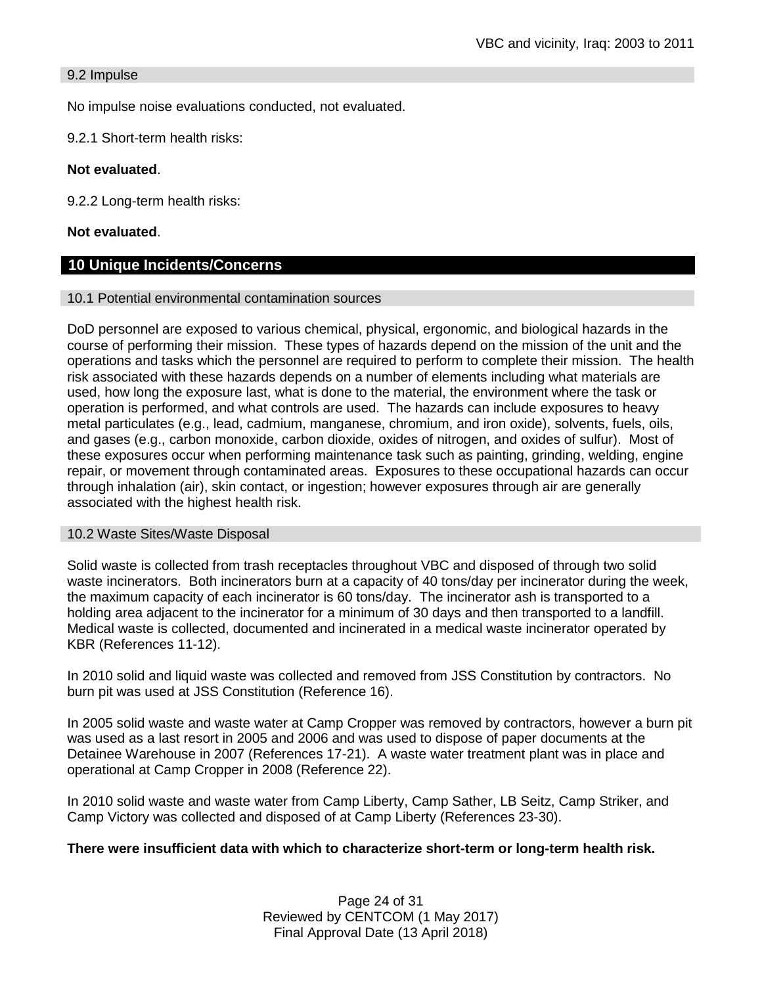#### 9.2 Impulse

No impulse noise evaluations conducted, not evaluated.

9.2.1 Short-term health risks:

### **Not evaluated**.

9.2.2 Long-term health risks:

### **Not evaluated**.

# **10 Unique Incidents/Concerns**

### 10.1 Potential environmental contamination sources

DoD personnel are exposed to various chemical, physical, ergonomic, and biological hazards in the course of performing their mission. These types of hazards depend on the mission of the unit and the operations and tasks which the personnel are required to perform to complete their mission. The health risk associated with these hazards depends on a number of elements including what materials are used, how long the exposure last, what is done to the material, the environment where the task or operation is performed, and what controls are used. The hazards can include exposures to heavy metal particulates (e.g., lead, cadmium, manganese, chromium, and iron oxide), solvents, fuels, oils, and gases (e.g., carbon monoxide, carbon dioxide, oxides of nitrogen, and oxides of sulfur). Most of these exposures occur when performing maintenance task such as painting, grinding, welding, engine repair, or movement through contaminated areas. Exposures to these occupational hazards can occur through inhalation (air), skin contact, or ingestion; however exposures through air are generally associated with the highest health risk.

### 10.2 Waste Sites/Waste Disposal

Solid waste is collected from trash receptacles throughout VBC and disposed of through two solid waste incinerators. Both incinerators burn at a capacity of 40 tons/day per incinerator during the week, the maximum capacity of each incinerator is 60 tons/day. The incinerator ash is transported to a holding area adjacent to the incinerator for a minimum of 30 days and then transported to a landfill. Medical waste is collected, documented and incinerated in a medical waste incinerator operated by KBR (References 11-12).

In 2010 solid and liquid waste was collected and removed from JSS Constitution by contractors. No burn pit was used at JSS Constitution (Reference 16).

In 2005 solid waste and waste water at Camp Cropper was removed by contractors, however a burn pit was used as a last resort in 2005 and 2006 and was used to dispose of paper documents at the Detainee Warehouse in 2007 (References 17-21). A waste water treatment plant was in place and operational at Camp Cropper in 2008 (Reference 22).

In 2010 solid waste and waste water from Camp Liberty, Camp Sather, LB Seitz, Camp Striker, and Camp Victory was collected and disposed of at Camp Liberty (References 23-30).

### **There were insufficient data with which to characterize short-term or long-term health risk.**

Page 24 of 31 Reviewed by CENTCOM (1 May 2017) Final Approval Date (13 April 2018)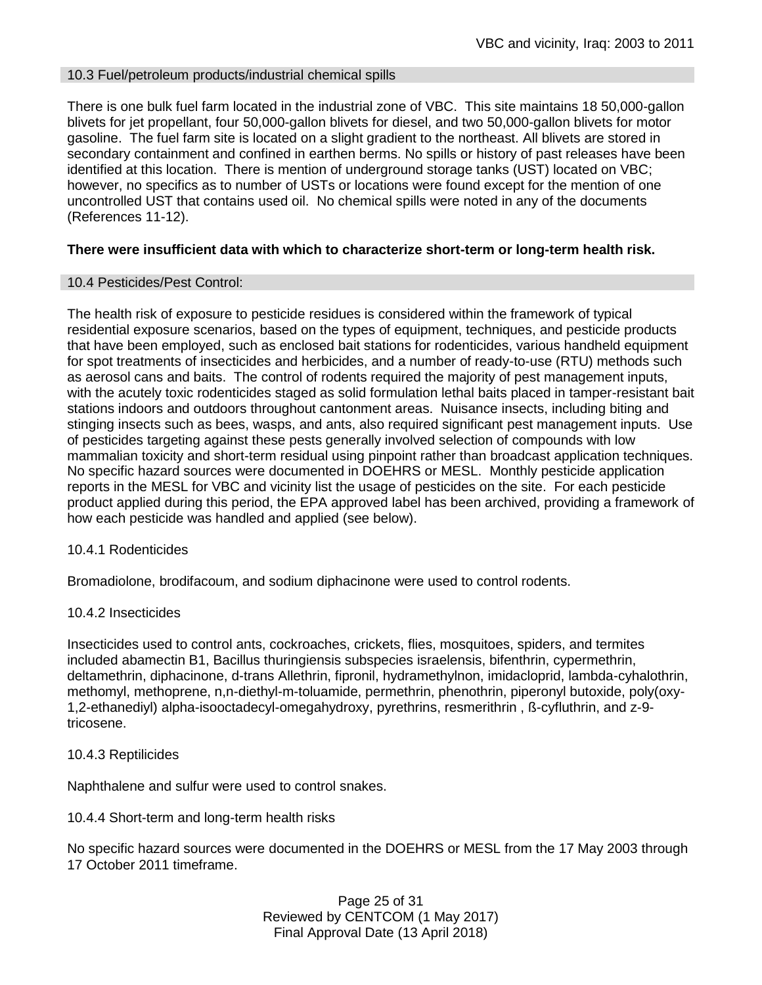# 10.3 Fuel/petroleum products/industrial chemical spills

There is one bulk fuel farm located in the industrial zone of VBC. This site maintains 18 50,000-gallon blivets for jet propellant, four 50,000-gallon blivets for diesel, and two 50,000-gallon blivets for motor gasoline. The fuel farm site is located on a slight gradient to the northeast. All blivets are stored in secondary containment and confined in earthen berms. No spills or history of past releases have been identified at this location. There is mention of underground storage tanks (UST) located on VBC; however, no specifics as to number of USTs or locations were found except for the mention of one uncontrolled UST that contains used oil. No chemical spills were noted in any of the documents (References 11-12).

# **There were insufficient data with which to characterize short-term or long-term health risk.**

### 10.4 Pesticides/Pest Control:

The health risk of exposure to pesticide residues is considered within the framework of typical residential exposure scenarios, based on the types of equipment, techniques, and pesticide products that have been employed, such as enclosed bait stations for rodenticides, various handheld equipment for spot treatments of insecticides and herbicides, and a number of ready-to-use (RTU) methods such as aerosol cans and baits. The control of rodents required the majority of pest management inputs, with the acutely toxic rodenticides staged as solid formulation lethal baits placed in tamper-resistant bait stations indoors and outdoors throughout cantonment areas. Nuisance insects, including biting and stinging insects such as bees, wasps, and ants, also required significant pest management inputs. Use of pesticides targeting against these pests generally involved selection of compounds with low mammalian toxicity and short-term residual using pinpoint rather than broadcast application techniques. No specific hazard sources were documented in DOEHRS or MESL. Monthly pesticide application reports in the MESL for VBC and vicinity list the usage of pesticides on the site. For each pesticide product applied during this period, the EPA approved label has been archived, providing a framework of how each pesticide was handled and applied (see below).

# 10.4.1 Rodenticides

Bromadiolone, brodifacoum, and sodium diphacinone were used to control rodents.

# 10.4.2 Insecticides

Insecticides used to control ants, cockroaches, crickets, flies, mosquitoes, spiders, and termites included abamectin B1, Bacillus thuringiensis subspecies israelensis, bifenthrin, cypermethrin, deltamethrin, diphacinone, d-trans Allethrin, fipronil, hydramethylnon, imidacloprid, lambda-cyhalothrin, methomyl, methoprene, n,n-diethyl-m-toluamide, permethrin, phenothrin, piperonyl butoxide, poly(oxy-1,2-ethanediyl) alpha-isooctadecyl-omegahydroxy, pyrethrins, resmerithrin , ß-cyfluthrin, and z-9 tricosene.

# 10.4.3 Reptilicides

Naphthalene and sulfur were used to control snakes.

### 10.4.4 Short-term and long-term health risks

No specific hazard sources were documented in the DOEHRS or MESL from the 17 May 2003 through 17 October 2011 timeframe.

> Page 25 of 31 Reviewed by CENTCOM (1 May 2017) Final Approval Date (13 April 2018)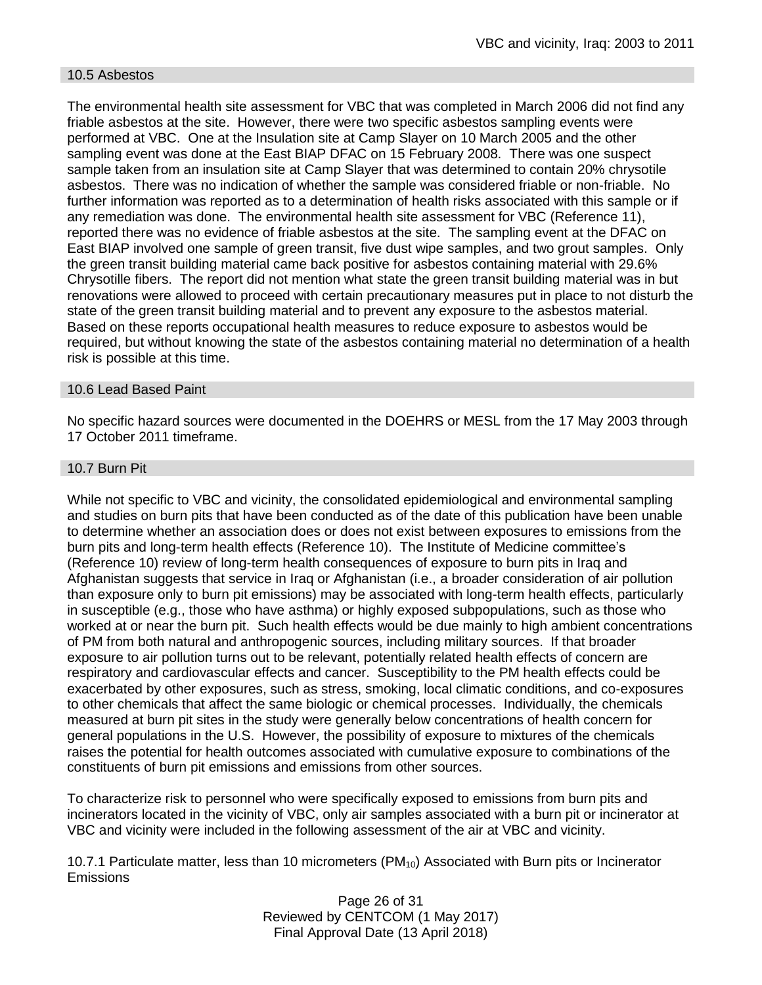#### 10.5 Asbestos

The environmental health site assessment for VBC that was completed in March 2006 did not find any friable asbestos at the site. However, there were two specific asbestos sampling events were performed at VBC. One at the Insulation site at Camp Slayer on 10 March 2005 and the other sampling event was done at the East BIAP DFAC on 15 February 2008. There was one suspect sample taken from an insulation site at Camp Slayer that was determined to contain 20% chrysotile asbestos. There was no indication of whether the sample was considered friable or non-friable. No further information was reported as to a determination of health risks associated with this sample or if any remediation was done. The environmental health site assessment for VBC (Reference 11), reported there was no evidence of friable asbestos at the site. The sampling event at the DFAC on East BIAP involved one sample of green transit, five dust wipe samples, and two grout samples. Only the green transit building material came back positive for asbestos containing material with 29.6% Chrysotille fibers. The report did not mention what state the green transit building material was in but renovations were allowed to proceed with certain precautionary measures put in place to not disturb the state of the green transit building material and to prevent any exposure to the asbestos material. Based on these reports occupational health measures to reduce exposure to asbestos would be required, but without knowing the state of the asbestos containing material no determination of a health risk is possible at this time.

#### 10.6 Lead Based Paint

No specific hazard sources were documented in the DOEHRS or MESL from the 17 May 2003 through 17 October 2011 timeframe.

#### 10.7 Burn Pit

While not specific to VBC and vicinity, the consolidated epidemiological and environmental sampling and studies on burn pits that have been conducted as of the date of this publication have been unable to determine whether an association does or does not exist between exposures to emissions from the burn pits and long-term health effects (Reference 10). The Institute of Medicine committee's (Reference 10) review of long-term health consequences of exposure to burn pits in Iraq and Afghanistan suggests that service in Iraq or Afghanistan (i.e., a broader consideration of air pollution than exposure only to burn pit emissions) may be associated with long-term health effects, particularly in susceptible (e.g., those who have asthma) or highly exposed subpopulations, such as those who worked at or near the burn pit. Such health effects would be due mainly to high ambient concentrations of PM from both natural and anthropogenic sources, including military sources. If that broader exposure to air pollution turns out to be relevant, potentially related health effects of concern are respiratory and cardiovascular effects and cancer. Susceptibility to the PM health effects could be exacerbated by other exposures, such as stress, smoking, local climatic conditions, and co-exposures to other chemicals that affect the same biologic or chemical processes. Individually, the chemicals measured at burn pit sites in the study were generally below concentrations of health concern for general populations in the U.S. However, the possibility of exposure to mixtures of the chemicals raises the potential for health outcomes associated with cumulative exposure to combinations of the constituents of burn pit emissions and emissions from other sources.

To characterize risk to personnel who were specifically exposed to emissions from burn pits and incinerators located in the vicinity of VBC, only air samples associated with a burn pit or incinerator at VBC and vicinity were included in the following assessment of the air at VBC and vicinity.

10.7.1 Particulate matter, less than 10 micrometers (PM<sub>10</sub>) Associated with Burn pits or Incinerator **Emissions** 

> Page 26 of 31 Reviewed by CENTCOM (1 May 2017) Final Approval Date (13 April 2018)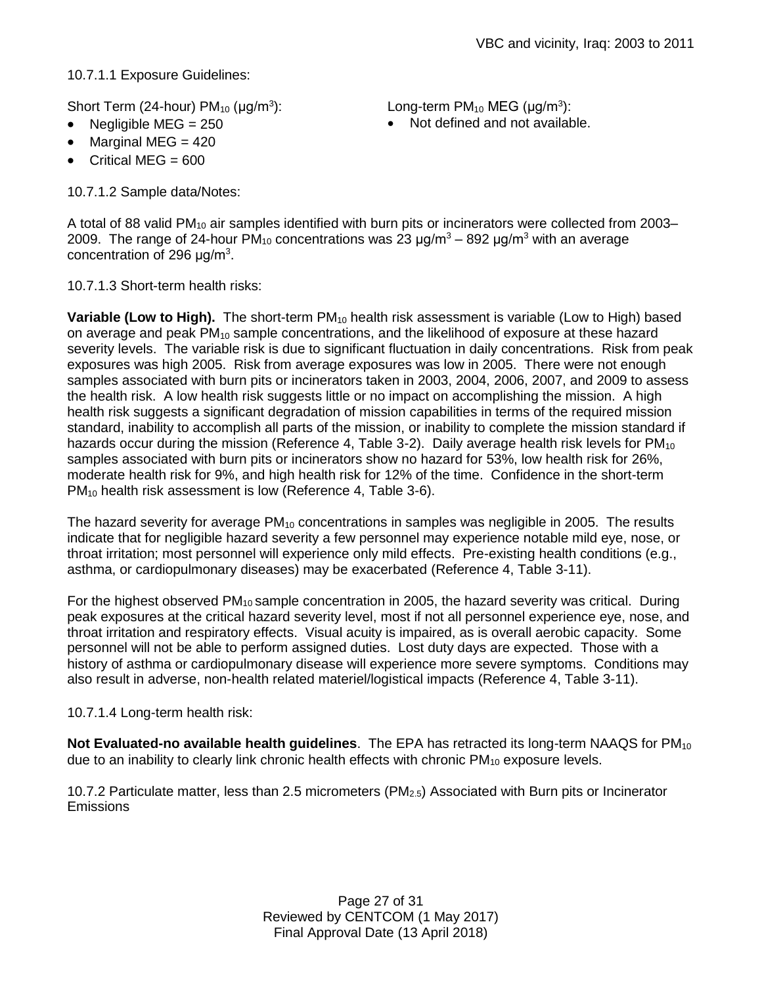10.7.1.1 Exposure Guidelines:

Short Term (24-hour)  $PM_{10}$  ( $\mu$ g/m<sup>3</sup>):

- 
- Marginal MEG = 420
- Critical MEG =  $600$

10.7.1.2 Sample data/Notes:

): Long-term PM<sub>10</sub> MEG ( $\mu$ g/m<sup>3</sup>):

Negligible  $MEG = 250$  Not defined and not available.

A total of 88 valid  $PM_{10}$  air samples identified with burn pits or incinerators were collected from 2003– 2009. The range of 24-hour PM<sub>10</sub> concentrations was 23  $\mu q/m^3 - 892 \mu q/m^3$  with an average concentration of 296  $\mu$ g/m<sup>3</sup>.

10.7.1.3 Short-term health risks:

**Variable (Low to High).** The short-term PM<sub>10</sub> health risk assessment is variable (Low to High) based on average and peak PM<sup>10</sup> sample concentrations, and the likelihood of exposure at these hazard severity levels. The variable risk is due to significant fluctuation in daily concentrations. Risk from peak exposures was high 2005. Risk from average exposures was low in 2005. There were not enough samples associated with burn pits or incinerators taken in 2003, 2004, 2006, 2007, and 2009 to assess the health risk. A low health risk suggests little or no impact on accomplishing the mission. A high health risk suggests a significant degradation of mission capabilities in terms of the required mission standard, inability to accomplish all parts of the mission, or inability to complete the mission standard if hazards occur during the mission (Reference 4, Table 3-2). Daily average health risk levels for  $PM_{10}$ samples associated with burn pits or incinerators show no hazard for 53%, low health risk for 26%, moderate health risk for 9%, and high health risk for 12% of the time. Confidence in the short-term PM<sub>10</sub> health risk assessment is low (Reference 4, Table 3-6).

The hazard severity for average  $PM_{10}$  concentrations in samples was negligible in 2005. The results indicate that for negligible hazard severity a few personnel may experience notable mild eye, nose, or throat irritation; most personnel will experience only mild effects. Pre-existing health conditions (e.g., asthma, or cardiopulmonary diseases) may be exacerbated (Reference 4, Table 3-11).

For the highest observed  $PM_{10}$  sample concentration in 2005, the hazard severity was critical. During peak exposures at the critical hazard severity level, most if not all personnel experience eye, nose, and throat irritation and respiratory effects. Visual acuity is impaired, as is overall aerobic capacity. Some personnel will not be able to perform assigned duties. Lost duty days are expected. Those with a history of asthma or cardiopulmonary disease will experience more severe symptoms. Conditions may also result in adverse, non-health related materiel/logistical impacts (Reference 4, Table 3-11).

10.7.1.4 Long-term health risk:

**Not Evaluated-no available health guidelines**. The EPA has retracted its long-term NAAQS for PM<sub>10</sub> due to an inability to clearly link chronic health effects with chronic  $PM_{10}$  exposure levels.

10.7.2 Particulate matter, less than 2.5 micrometers ( $PM<sub>2.5</sub>$ ) Associated with Burn pits or Incinerator **Emissions** 

> Page 27 of 31 Reviewed by CENTCOM (1 May 2017) Final Approval Date (13 April 2018)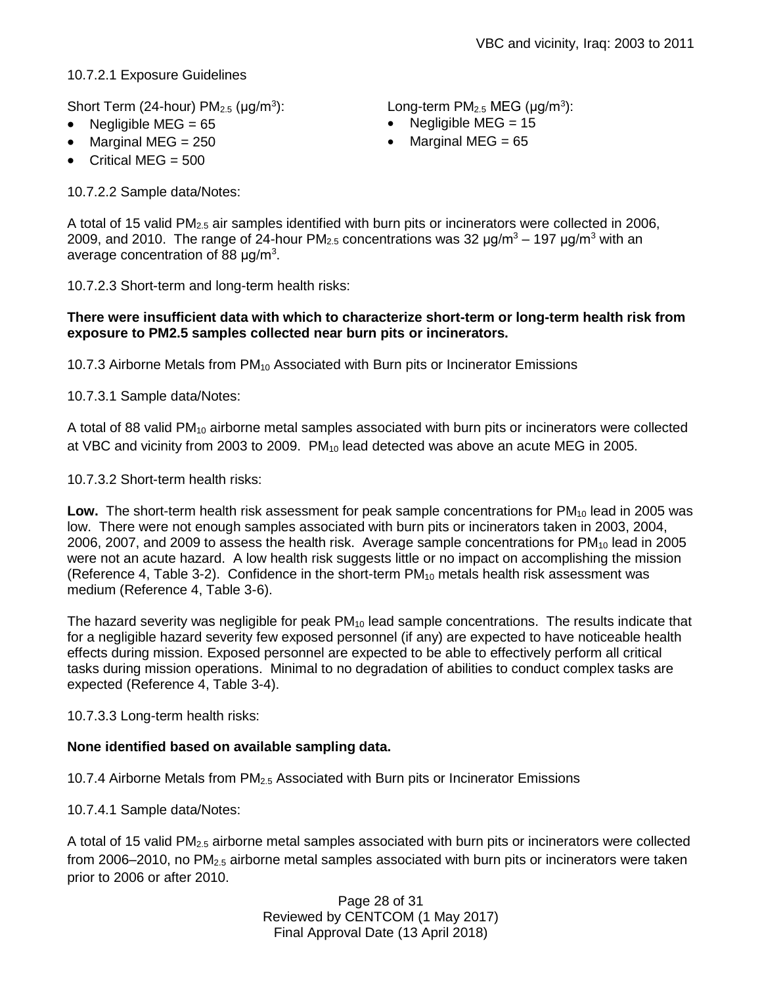# 10.7.2.1 Exposure Guidelines

Short Term (24-hour)  $PM<sub>2.5</sub>$  ( $\mu$ g/m<sup>3</sup>):

- 
- 
- $\bullet$  Critical MEG = 500

10.7.2.2 Sample data/Notes:

):  $Long-term PM<sub>2.5</sub> MEG (µg/m<sup>3</sup>):$ 

- Negligible MEG = 65 Negligible MEG = 15
- Marginal MEG = 250 **a** Marginal MEG = 65

A total of 15 valid PM2.5 air samples identified with burn pits or incinerators were collected in 2006, 2009, and 2010. The range of 24-hour PM<sub>2.5</sub> concentrations was 32  $\mu$ g/m<sup>3</sup> – 197  $\mu$ g/m<sup>3</sup> with an average concentration of 88  $\mu$ g/m<sup>3</sup>.

10.7.2.3 Short-term and long-term health risks:

### **There were insufficient data with which to characterize short-term or long-term health risk from exposure to PM2.5 samples collected near burn pits or incinerators.**

10.7.3 Airborne Metals from  $PM_{10}$  Associated with Burn pits or Incinerator Emissions

10.7.3.1 Sample data/Notes:

A total of 88 valid PM<sub>10</sub> airborne metal samples associated with burn pits or incinerators were collected at VBC and vicinity from 2003 to 2009.  $PM_{10}$  lead detected was above an acute MEG in 2005.

10.7.3.2 Short-term health risks:

**Low.** The short-term health risk assessment for peak sample concentrations for PM<sub>10</sub> lead in 2005 was low. There were not enough samples associated with burn pits or incinerators taken in 2003, 2004, 2006, 2007, and 2009 to assess the health risk. Average sample concentrations for PM<sub>10</sub> lead in 2005 were not an acute hazard. A low health risk suggests little or no impact on accomplishing the mission (Reference 4, Table 3-2). Confidence in the short-term  $PM_{10}$  metals health risk assessment was medium (Reference 4, Table 3-6).

The hazard severity was negligible for peak  $PM_{10}$  lead sample concentrations. The results indicate that for a negligible hazard severity few exposed personnel (if any) are expected to have noticeable health effects during mission. Exposed personnel are expected to be able to effectively perform all critical tasks during mission operations. Minimal to no degradation of abilities to conduct complex tasks are expected (Reference 4, Table 3-4).

10.7.3.3 Long-term health risks:

# **None identified based on available sampling data.**

10.7.4 Airborne Metals from PM2.5 Associated with Burn pits or Incinerator Emissions

10.7.4.1 Sample data/Notes:

A total of 15 valid PM2.5 airborne metal samples associated with burn pits or incinerators were collected from 2006–2010, no  $PM_{2.5}$  airborne metal samples associated with burn pits or incinerators were taken prior to 2006 or after 2010.

> Page 28 of 31 Reviewed by CENTCOM (1 May 2017) Final Approval Date (13 April 2018)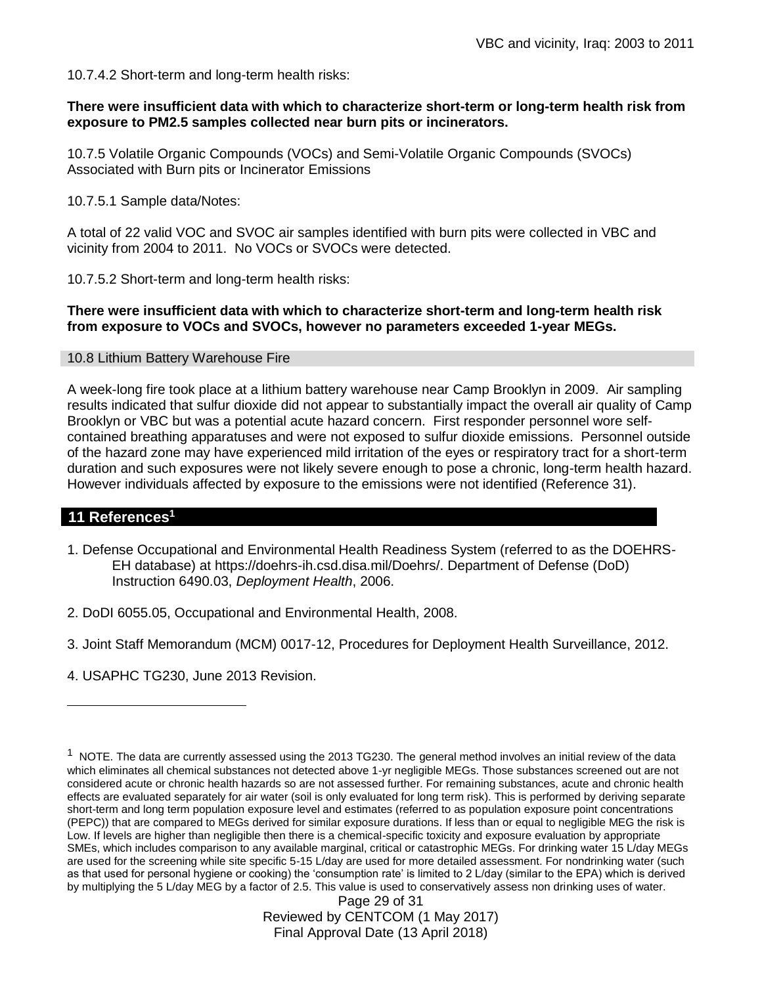10.7.4.2 Short-term and long-term health risks:

### **There were insufficient data with which to characterize short-term or long-term health risk from exposure to PM2.5 samples collected near burn pits or incinerators.**

10.7.5 Volatile Organic Compounds (VOCs) and Semi-Volatile Organic Compounds (SVOCs) Associated with Burn pits or Incinerator Emissions

10.7.5.1 Sample data/Notes:

A total of 22 valid VOC and SVOC air samples identified with burn pits were collected in VBC and vicinity from 2004 to 2011. No VOCs or SVOCs were detected.

10.7.5.2 Short-term and long-term health risks:

### **There were insufficient data with which to characterize short-term and long-term health risk from exposure to VOCs and SVOCs, however no parameters exceeded 1-year MEGs.**

### 10.8 Lithium Battery Warehouse Fire

A week-long fire took place at a lithium battery warehouse near Camp Brooklyn in 2009. Air sampling results indicated that sulfur dioxide did not appear to substantially impact the overall air quality of Camp Brooklyn or VBC but was a potential acute hazard concern. First responder personnel wore selfcontained breathing apparatuses and were not exposed to sulfur dioxide emissions. Personnel outside of the hazard zone may have experienced mild irritation of the eyes or respiratory tract for a short-term duration and such exposures were not likely severe enough to pose a chronic, long-term health hazard. However individuals affected by exposure to the emissions were not identified (Reference 31).

# **11 References<sup>1</sup>**

 $\overline{a}$ 

- 1. Defense Occupational and Environmental Health Readiness System (referred to as the DOEHRS-EH database) at https://doehrs-ih.csd.disa.mil/Doehrs/. Department of Defense (DoD) Instruction 6490.03, *Deployment Health*, 2006.
- 2. DoDI 6055.05, Occupational and Environmental Health, 2008.
- 3. Joint Staff Memorandum (MCM) 0017-12, Procedures for Deployment Health Surveillance, 2012.
- 4. USAPHC TG230, June 2013 Revision.

Page 29 of 31 Reviewed by CENTCOM (1 May 2017) Final Approval Date (13 April 2018)

<sup>&</sup>lt;sup>1</sup> NOTE. The data are currently assessed using the 2013 TG230. The general method involves an initial review of the data which eliminates all chemical substances not detected above 1-yr negligible MEGs. Those substances screened out are not considered acute or chronic health hazards so are not assessed further. For remaining substances, acute and chronic health effects are evaluated separately for air water (soil is only evaluated for long term risk). This is performed by deriving separate short-term and long term population exposure level and estimates (referred to as population exposure point concentrations (PEPC)) that are compared to MEGs derived for similar exposure durations. If less than or equal to negligible MEG the risk is Low. If levels are higher than negligible then there is a chemical-specific toxicity and exposure evaluation by appropriate SMEs, which includes comparison to any available marginal, critical or catastrophic MEGs. For drinking water 15 L/day MEGs are used for the screening while site specific 5-15 L/day are used for more detailed assessment. For nondrinking water (such as that used for personal hygiene or cooking) the 'consumption rate' is limited to 2 L/day (similar to the EPA) which is derived by multiplying the 5 L/day MEG by a factor of 2.5. This value is used to conservatively assess non drinking uses of water.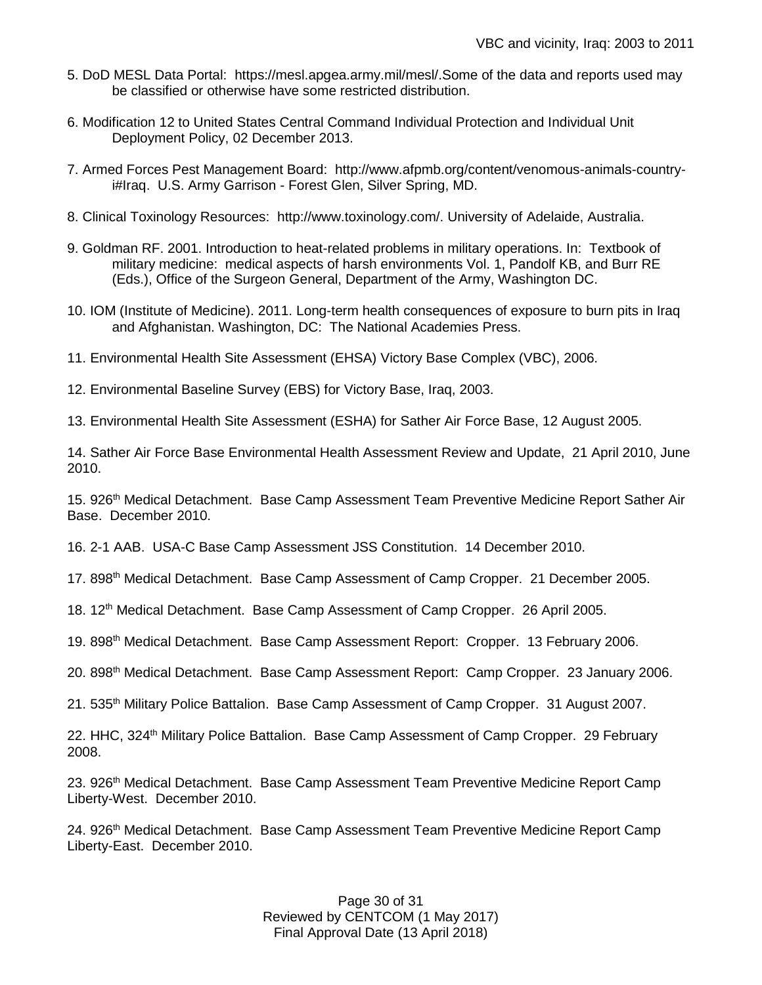- 5. DoD MESL Data Portal: https://mesl.apgea.army.mil/mesl/.Some of the data and reports used may be classified or otherwise have some restricted distribution.
- 6. Modification 12 to United States Central Command Individual Protection and Individual Unit Deployment Policy, 02 December 2013.
- 7. Armed Forces Pest Management Board: http://www.afpmb.org/content/venomous-animals-countryi#Iraq. U.S. Army Garrison - Forest Glen, Silver Spring, MD.
- 8. Clinical Toxinology Resources: http://www.toxinology.com/. University of Adelaide, Australia.
- 9. Goldman RF. 2001. Introduction to heat-related problems in military operations. In: Textbook of military medicine: medical aspects of harsh environments Vol. 1, Pandolf KB, and Burr RE (Eds.), Office of the Surgeon General, Department of the Army, Washington DC.
- 10. IOM (Institute of Medicine). 2011. Long-term health consequences of exposure to burn pits in Iraq and Afghanistan. Washington, DC: The National Academies Press.
- 11. Environmental Health Site Assessment (EHSA) Victory Base Complex (VBC), 2006.
- 12. Environmental Baseline Survey (EBS) for Victory Base, Iraq, 2003.
- 13. Environmental Health Site Assessment (ESHA) for Sather Air Force Base, 12 August 2005.

14. Sather Air Force Base Environmental Health Assessment Review and Update, 21 April 2010, June 2010.

15. 926<sup>th</sup> Medical Detachment. Base Camp Assessment Team Preventive Medicine Report Sather Air Base. December 2010.

16. 2-1 AAB. USA-C Base Camp Assessment JSS Constitution. 14 December 2010.

17. 898<sup>th</sup> Medical Detachment. Base Camp Assessment of Camp Cropper. 21 December 2005.

18. 12th Medical Detachment. Base Camp Assessment of Camp Cropper. 26 April 2005.

19. 898th Medical Detachment. Base Camp Assessment Report: Cropper. 13 February 2006.

20. 898th Medical Detachment. Base Camp Assessment Report: Camp Cropper. 23 January 2006.

21. 535<sup>th</sup> Military Police Battalion. Base Camp Assessment of Camp Cropper. 31 August 2007.

22. HHC, 324<sup>th</sup> Military Police Battalion. Base Camp Assessment of Camp Cropper. 29 February 2008.

23. 926th Medical Detachment. Base Camp Assessment Team Preventive Medicine Report Camp Liberty-West. December 2010.

24. 926th Medical Detachment. Base Camp Assessment Team Preventive Medicine Report Camp Liberty-East. December 2010.

> Page 30 of 31 Reviewed by CENTCOM (1 May 2017) Final Approval Date (13 April 2018)